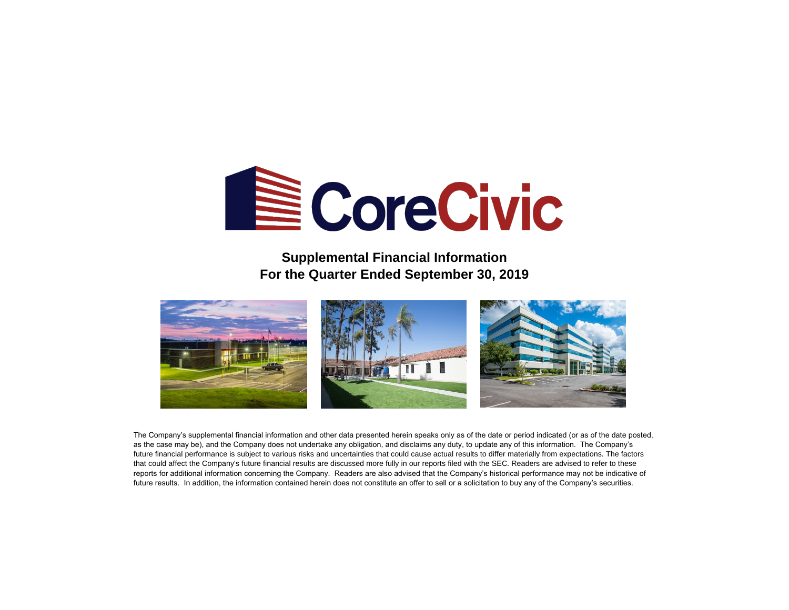

**Supplemental Financial Information For the Quarter Ended September 30, 2019**



The Company's supplemental financial information and other data presented herein speaks only as of the date or period indicated (or as of the date posted, as the case may be), and the Company does not undertake any obligation, and disclaims any duty, to update any of this information. The Company's future financial performance is subject to various risks and uncertainties that could cause actual results to differ materially from expectations. The factors that could affect the Company's future financial results are discussed more fully in our reports filed with the SEC. Readers are advised to refer to these reports for additional information concerning the Company. Readers are also advised that the Company's historical performance may not be indicative of future results. In addition, the information contained herein does not constitute an offer to sell or a solicitation to buy any of the Company's securities.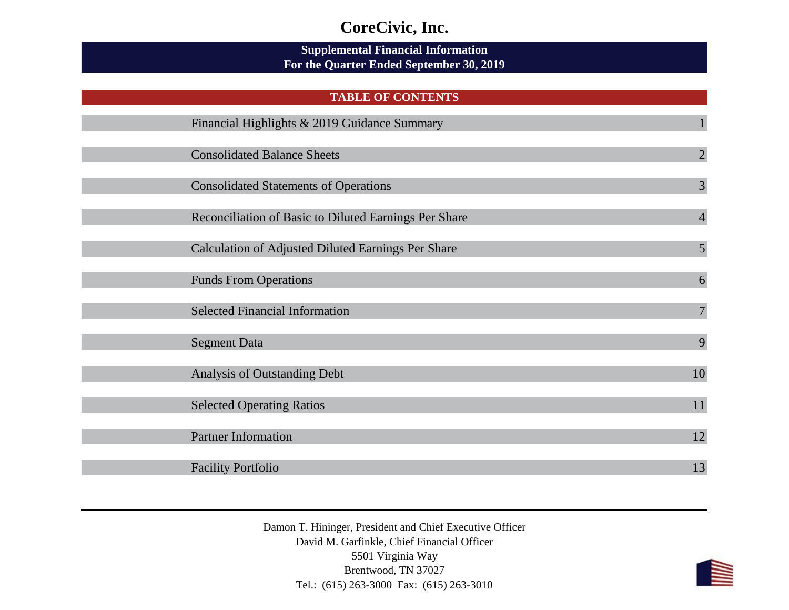# **CoreCivic, Inc.**

# **Supplemental Financial Information For the Quarter Ended September 30, 2019**

| <b>TABLE OF CONTENTS</b>                              |                 |
|-------------------------------------------------------|-----------------|
| Financial Highlights & 2019 Guidance Summary          | $\mathbf{1}$    |
| <b>Consolidated Balance Sheets</b>                    | $\overline{2}$  |
| <b>Consolidated Statements of Operations</b>          | $\overline{3}$  |
| Reconciliation of Basic to Diluted Earnings Per Share | $\overline{4}$  |
| Calculation of Adjusted Diluted Earnings Per Share    | $5\overline{)}$ |
| <b>Funds From Operations</b>                          | 6               |
| <b>Selected Financial Information</b>                 | $7\overline{ }$ |
| <b>Segment Data</b>                                   | 9               |
| Analysis of Outstanding Debt                          | 10              |
| <b>Selected Operating Ratios</b>                      | 11              |
| <b>Partner Information</b>                            | 12              |
| <b>Facility Portfolio</b>                             | 13              |

David M. Garfinkle, Chief Financial Officer 5501 Virginia Way Brentwood, TN 37027 Tel.: (615) 263-3000 Fax: (615) 263-3010 Damon T. Hininger, President and Chief Executive Officer

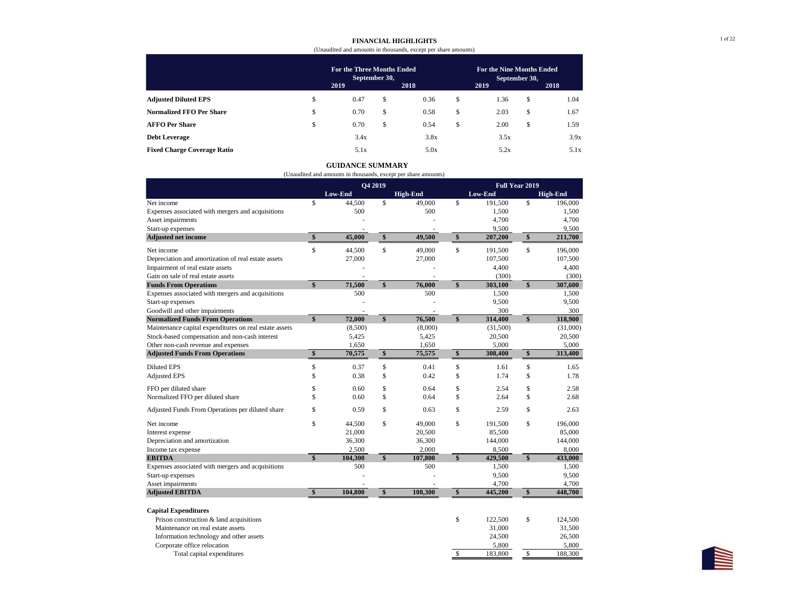### **FINANCIAL HIGHLIGHTS** (Unaudited and amounts in thousands, except per share amounts)

|                                    |              | <b>For the Three Months Ended</b><br>September 30,<br>2019 | <b>For the Nine Months Ended</b><br>September 30,<br>2018<br>2019 |      |    |      |    |      |
|------------------------------------|--------------|------------------------------------------------------------|-------------------------------------------------------------------|------|----|------|----|------|
| <b>Adjusted Diluted EPS</b>        | \$           | 0.47                                                       | \$                                                                | 0.36 | \$ | 1.36 | S  | 1.04 |
| <b>Normalized FFO Per Share</b>    | $\mathbb{S}$ | 0.70                                                       | $\mathbb{S}$                                                      | 0.58 | \$ | 2.03 | \$ | 1.67 |
| <b>AFFO Per Share</b>              | ¢<br>D       | 0.70                                                       | \$                                                                | 0.54 | \$ | 2.00 | \$ | 1.59 |
| <b>Debt Leverage</b>               |              | 3.4x                                                       |                                                                   | 3.8x |    | 3.5x |    | 3.9x |
| <b>Fixed Charge Coverage Ratio</b> |              | 5.1x                                                       |                                                                   | 5.0x |    | 5.2x |    | 5.1x |

|                                                        | Q4 2019           |         |                         |                 |                   | <b>Full Year 2019</b> |                   |                 |  |
|--------------------------------------------------------|-------------------|---------|-------------------------|-----------------|-------------------|-----------------------|-------------------|-----------------|--|
|                                                        |                   | Low-End |                         | <b>High-End</b> |                   | Low-End               |                   | <b>High-End</b> |  |
| Net income                                             | \$                | 44,500  | \$                      | 49,000          | \$                | 191,500               | \$                | 196,000         |  |
| Expenses associated with mergers and acquisitions      |                   | 500     |                         | 500             |                   | 1,500                 |                   | 1,500           |  |
| Asset impairments                                      |                   |         |                         |                 |                   | 4,700                 |                   | 4,700           |  |
| Start-up expenses                                      |                   |         |                         |                 |                   | 9,500                 |                   | 9,500           |  |
| <b>Adjusted net income</b>                             | \$                | 45,000  | \$                      | 49,500          | \$                | 207,200               | $\boldsymbol{\$}$ | 211,700         |  |
| Net income                                             | \$                | 44,500  | \$                      | 49,000          | \$                | 191,500               | \$                | 196,000         |  |
| Depreciation and amortization of real estate assets    |                   | 27,000  |                         | 27,000          |                   | 107,500               |                   | 107,500         |  |
| Impairment of real estate assets                       |                   |         |                         |                 |                   | 4,400                 |                   | 4,400           |  |
| Gain on sale of real estate assets                     |                   |         |                         |                 |                   | (300)                 |                   | (300)           |  |
| <b>Funds From Operations</b>                           | $\overline{\$}$   | 71,500  | \$                      | 76,000          | \$                | 303,100               | \$                | 307,600         |  |
| Expenses associated with mergers and acquisitions      |                   | 500     |                         | 500             |                   | 1,500                 |                   | 1,500           |  |
| Start-up expenses                                      |                   |         |                         |                 |                   | 9,500                 |                   | 9,500           |  |
| Goodwill and other impairments                         |                   |         |                         |                 |                   | 300                   |                   | 300             |  |
| <b>Normalized Funds From Operations</b>                | $\overline{\$}$   | 72,000  | $\boldsymbol{\$}$       | 76,500          | \$                | 314,400               | \$                | 318,900         |  |
| Maintenance capital expenditures on real estate assets |                   | (8,500) |                         | (8,000)         |                   | (31,500)              |                   | (31,000)        |  |
| Stock-based compensation and non-cash interest         |                   | 5,425   |                         | 5,425           |                   | 20,500                |                   | 20,500          |  |
| Other non-cash revenue and expenses                    |                   | 1,650   |                         | 1,650           |                   | 5,000                 |                   | 5,000           |  |
| <b>Adjusted Funds From Operations</b>                  | \$                | 70,575  | \$                      | 75,575          | \$                | 308,400               | $\boldsymbol{\$}$ | 313,400         |  |
| <b>Diluted EPS</b>                                     | \$                | 0.37    | \$                      | 0.41            | \$                | 1.61                  | \$                | 1.65            |  |
| <b>Adjusted EPS</b>                                    | \$                | 0.38    | \$                      | 0.42            | \$                | 1.74                  | \$                | 1.78            |  |
| FFO per diluted share                                  | S                 | 0.60    | \$                      | 0.64            | \$                | 2.54                  | \$                | 2.58            |  |
| Normalized FFO per diluted share                       | \$                | 0.60    | \$                      | 0.64            | \$                | 2.64                  | \$                | 2.68            |  |
| Adjusted Funds From Operations per diluted share       |                   | 0.59    | \$                      | 0.63            | \$                | 2.59                  | \$                | 2.63            |  |
| Net income                                             | \$                | 44,500  | \$                      | 49,000          | \$                | 191,500               | \$                | 196,000         |  |
| Interest expense                                       |                   | 21,000  |                         | 20,500          |                   | 85,500                |                   | 85,000          |  |
| Depreciation and amortization                          |                   | 36,300  |                         | 36,300          |                   | 144,000               |                   | 144,000         |  |
| Income tax expense                                     |                   | 2,500   |                         | 2,000           |                   | 8,500                 |                   | 8,000           |  |
| <b>EBITDA</b>                                          | $\boldsymbol{\$}$ | 104,300 | $\$\$                   | 107,800         | \$                | 429,500               | \$                | 433,000         |  |
| Expenses associated with mergers and acquisitions      |                   | 500     |                         | 500             |                   | 1,500                 |                   | 1,500           |  |
| Start-up expenses                                      |                   |         |                         |                 |                   | 9,500                 |                   | 9,500           |  |
| Asset impairments                                      |                   |         |                         |                 |                   | 4,700                 |                   | 4,700           |  |
| <b>Adjusted EBITDA</b>                                 | $\boldsymbol{\$}$ | 104,800 | $\sqrt[6]{\frac{1}{2}}$ | 108,300         | $\boldsymbol{\$}$ | 445,200               | $\boldsymbol{\$}$ | 448,700         |  |
| <b>Capital Expenditures</b>                            |                   |         |                         |                 |                   |                       |                   |                 |  |
| Prison construction $&$ land acquisitions              |                   |         |                         |                 | \$                | 122,500               | \$                | 124,500         |  |
| Maintenance on real estate assets                      |                   |         |                         |                 |                   | 31,000                |                   | 31,500          |  |
| Information technology and other assets                |                   |         |                         |                 |                   | 24,500                |                   | 26,500          |  |
| Corporate office relocation                            |                   |         |                         |                 |                   | 5,800                 |                   | 5,800           |  |
| Total capital expenditures                             |                   |         |                         |                 | $\mathcal{S}$     | 183,800               | $\mathbb{S}$      | 188,300         |  |



#### **GUIDANCE SUMMARY**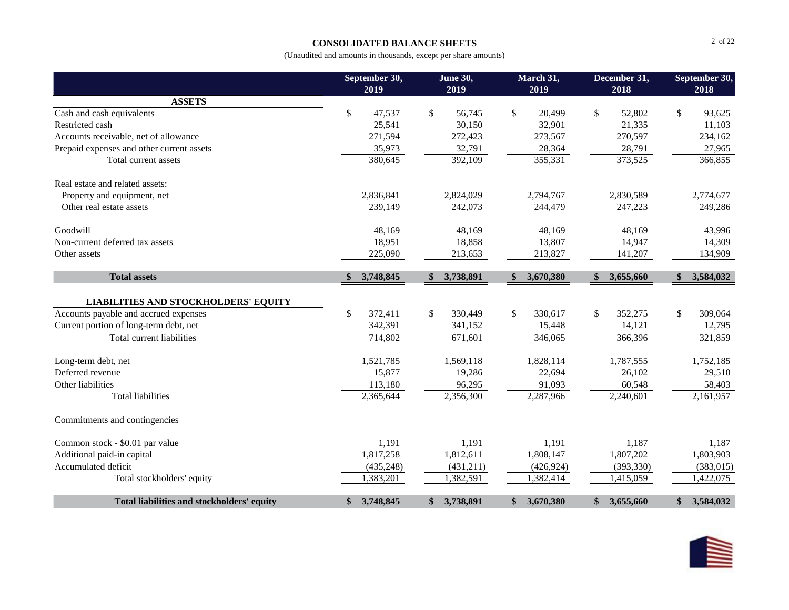#### **CONSOLIDATED BALANCE SHEETS**

|                                             | September 30,<br>2019               | <b>June 30,</b><br>2019    | March 31,<br>2019          | December 31,<br>2018       | September 30,<br>2018      |
|---------------------------------------------|-------------------------------------|----------------------------|----------------------------|----------------------------|----------------------------|
| <b>ASSETS</b>                               |                                     |                            |                            |                            |                            |
| Cash and cash equivalents                   | $\boldsymbol{\mathsf{S}}$<br>47,537 | $\mathcal{S}$<br>56,745    | $\sqrt$<br>20,499          | $\mathcal{S}$<br>52,802    | $\mathbb{S}$<br>93,625     |
| Restricted cash                             | 25,541                              | 30,150                     | 32,901                     | 21,335                     | 11,103                     |
| Accounts receivable, net of allowance       | 271,594                             | 272,423                    | 273,567                    | 270,597                    | 234,162                    |
| Prepaid expenses and other current assets   | 35,973                              | 32,791                     | 28,364                     | 28,791                     | 27,965                     |
| Total current assets                        | 380,645                             | 392,109                    | 355,331                    | 373,525                    | 366,855                    |
| Real estate and related assets:             |                                     |                            |                            |                            |                            |
| Property and equipment, net                 | 2,836,841                           | 2,824,029                  | 2,794,767                  | 2,830,589                  | 2,774,677                  |
| Other real estate assets                    | 239,149                             | 242,073                    | 244,479                    | 247,223                    | 249,286                    |
| Goodwill                                    | 48,169                              | 48,169                     | 48,169                     | 48,169                     | 43,996                     |
| Non-current deferred tax assets             | 18,951                              | 18,858                     | 13,807                     | 14,947                     | 14,309                     |
| Other assets                                | 225,090                             | 213,653                    | 213,827                    | 141,207                    | 134,909                    |
| <b>Total assets</b>                         | 3,748,845<br>$\mathbf{S}$           | 3,738,891<br>$\frac{1}{2}$ | $\frac{1}{2}$<br>3,670,380 | 3,655,660<br>$\frac{1}{2}$ | 3,584,032<br>$\frac{1}{2}$ |
| <b>LIABILITIES AND STOCKHOLDERS' EQUITY</b> |                                     |                            |                            |                            |                            |
| Accounts payable and accrued expenses       | $\mathbb{S}$<br>372,411             | $\mathbb{S}$<br>330,449    | \$<br>330,617              | \$<br>352,275              | \$<br>309,064              |
| Current portion of long-term debt, net      | 342,391                             | 341,152                    | 15,448                     | 14,121                     | 12,795                     |
| Total current liabilities                   | 714,802                             | 671,601                    | 346,065                    | 366,396                    | 321,859                    |
| Long-term debt, net                         | 1,521,785                           | 1,569,118                  | 1,828,114                  | 1,787,555                  | 1,752,185                  |
| Deferred revenue                            | 15,877                              | 19,286                     | 22,694                     | 26,102                     | 29,510                     |
| Other liabilities                           | 113,180                             | 96,295                     | 91,093                     | 60,548                     | 58,403                     |
| <b>Total liabilities</b>                    | 2,365,644                           | 2,356,300                  | 2,287,966                  | 2,240,601                  | 2,161,957                  |
| Commitments and contingencies               |                                     |                            |                            |                            |                            |
| Common stock - \$0.01 par value             | 1,191                               | 1,191                      | 1,191                      | 1,187                      | 1,187                      |
| Additional paid-in capital                  | 1,817,258                           | 1,812,611                  | 1,808,147                  | 1,807,202                  | 1,803,903                  |
| Accumulated deficit                         | (435, 248)                          | (431,211)                  | (426, 924)                 | (393, 330)                 | (383, 015)                 |
| Total stockholders' equity                  | 1,383,201                           | 1,382,591                  | 1,382,414                  | 1,415,059                  | 1,422,075                  |
| Total liabilities and stockholders' equity  | 3,748,845                           | 3,738,891<br>\$            | 3,670,380<br>\$            | 3,655,660<br>\$            | 3,584,032<br>$\mathbf{\$}$ |

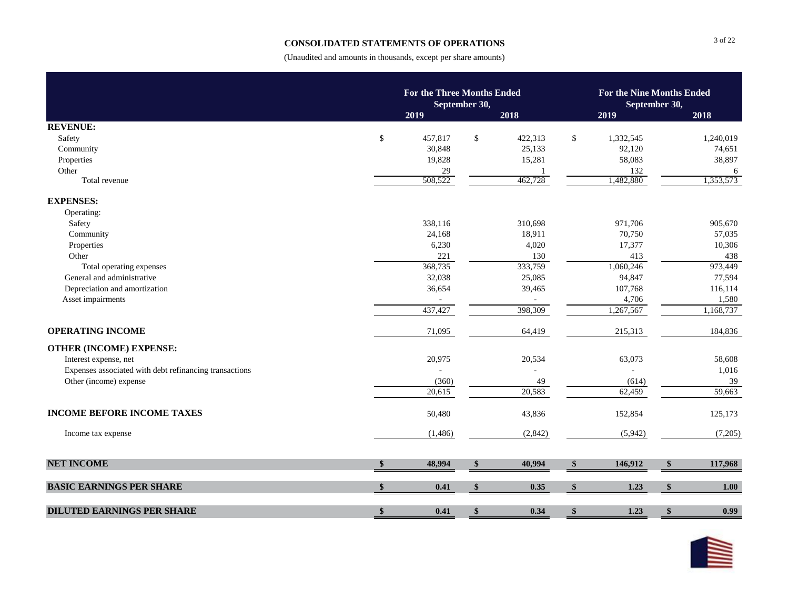### **CONSOLIDATED STATEMENTS OF OPERATIONS**

|                                                        | <b>For the Three Months Ended</b><br>September 30, |                          |               |                          | For the Nine Months Ended<br>September 30, |                |               |           |
|--------------------------------------------------------|----------------------------------------------------|--------------------------|---------------|--------------------------|--------------------------------------------|----------------|---------------|-----------|
|                                                        |                                                    | 2019                     |               | 2018                     |                                            | 2019           |               | 2018      |
| <b>REVENUE:</b>                                        |                                                    |                          |               |                          |                                            |                |               |           |
| Safety                                                 | \$                                                 | 457,817                  | \$            | 422,313                  | \$                                         | 1,332,545      |               | 1,240,019 |
| Community                                              |                                                    | 30,848                   |               | 25,133                   |                                            | 92,120         |               | 74,651    |
| Properties                                             |                                                    | 19,828                   |               | 15,281                   |                                            | 58,083         |               | 38,897    |
| Other                                                  |                                                    | 29                       |               |                          |                                            | 132            |               | 6         |
| Total revenue                                          |                                                    | 508,522                  |               | 462,728                  |                                            | 1,482,880      |               | 1,353,573 |
| <b>EXPENSES:</b>                                       |                                                    |                          |               |                          |                                            |                |               |           |
| Operating:                                             |                                                    |                          |               |                          |                                            |                |               |           |
| Safety                                                 |                                                    | 338,116                  |               | 310,698                  |                                            | 971,706        |               | 905,670   |
| Community                                              |                                                    | 24,168                   |               | 18,911                   |                                            | 70,750         |               | 57,035    |
| Properties                                             |                                                    | 6,230                    |               | 4,020                    |                                            | 17,377         |               | 10,306    |
| Other                                                  |                                                    | 221                      |               | 130                      |                                            | 413            |               | 438       |
| Total operating expenses                               |                                                    | 368,735                  |               | 333,759                  |                                            | 1,060,246      |               | 973,449   |
| General and administrative                             |                                                    | 32,038                   |               | 25,085                   |                                            | 94,847         |               | 77,594    |
| Depreciation and amortization                          |                                                    | 36,654                   |               | 39,465                   |                                            | 107,768        |               | 116,114   |
| Asset impairments                                      |                                                    | $\overline{\phantom{a}}$ |               | $\overline{\phantom{a}}$ |                                            | 4,706          |               | 1,580     |
|                                                        |                                                    | 437,427                  |               | 398,309                  |                                            | 1,267,567      |               | 1,168,737 |
| <b>OPERATING INCOME</b>                                |                                                    | 71,095                   |               | 64,419                   |                                            | 215,313        |               | 184,836   |
| <b>OTHER (INCOME) EXPENSE:</b>                         |                                                    |                          |               |                          |                                            |                |               |           |
| Interest expense, net                                  |                                                    | 20,975                   |               | 20,534                   |                                            | 63,073         |               | 58,608    |
| Expenses associated with debt refinancing transactions |                                                    |                          |               |                          |                                            | $\overline{a}$ |               | 1,016     |
| Other (income) expense                                 |                                                    | (360)                    |               | 49                       |                                            | (614)          |               | 39        |
|                                                        |                                                    | 20,615                   |               | 20,583                   |                                            | 62,459         |               | 59,663    |
| <b>INCOME BEFORE INCOME TAXES</b>                      |                                                    | 50,480                   |               | 43,836                   |                                            | 152,854        |               | 125,173   |
| Income tax expense                                     |                                                    | (1, 486)                 |               | (2,842)                  |                                            | (5,942)        |               | (7,205)   |
|                                                        |                                                    |                          |               |                          |                                            |                |               |           |
| <b>NET INCOME</b>                                      | $\mathbf{s}$                                       | 48,994                   | $\mathbf{\$}$ | 40,994                   | $\mathbf{\$}$                              | 146,912        | $\mathbf{s}$  | 117,968   |
| <b>BASIC EARNINGS PER SHARE</b>                        | <sup>\$</sup>                                      | 0.41                     | $\mathbf{\$}$ | 0.35                     |                                            | 1.23           |               | 1.00      |
| <b>DILUTED EARNINGS PER SHARE</b>                      | \$                                                 | 0.41                     | \$            | 0.34                     | $\boldsymbol{\mathsf{s}}$                  | 1.23           | $\frac{1}{2}$ | 0.99      |

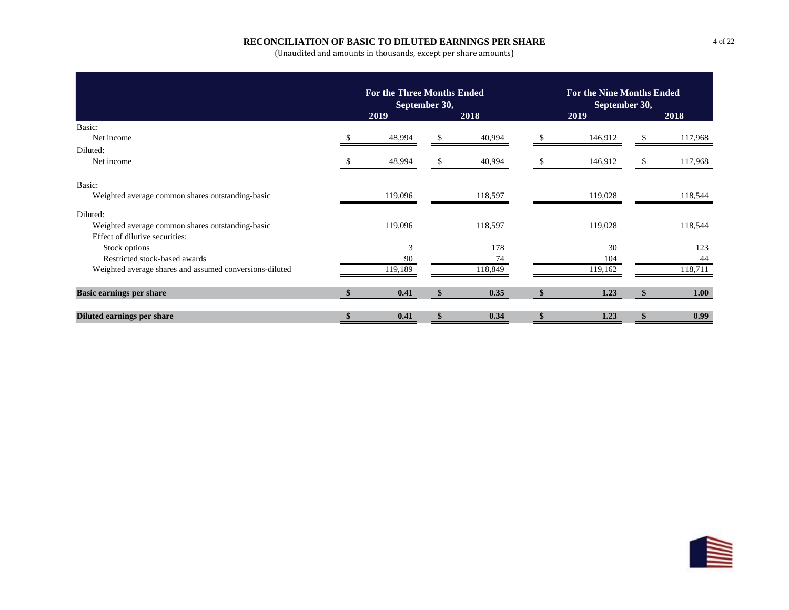#### **RECONCILIATION OF BASIC TO DILUTED EARNINGS PER SHARE**

|                                                                                    | <b>For the Three Months Ended</b><br>September 30,<br>2019<br>2018 |         |    |         | 2019 | <b>For the Nine Months Ended</b><br>2018 |    |         |
|------------------------------------------------------------------------------------|--------------------------------------------------------------------|---------|----|---------|------|------------------------------------------|----|---------|
| Basic:                                                                             |                                                                    |         |    |         |      |                                          |    |         |
| Net income                                                                         |                                                                    | 48,994  | -S | 40,994  | S.   | 146,912                                  |    | 117,968 |
| Diluted:                                                                           |                                                                    |         |    |         |      |                                          |    |         |
| Net income                                                                         |                                                                    | 48,994  |    | 40,994  | Ж    | 146,912                                  | Ъ. | 117,968 |
| Basic:<br>Weighted average common shares outstanding-basic                         |                                                                    | 119,096 |    | 118,597 |      | 119,028                                  |    | 118,544 |
| Diluted:                                                                           |                                                                    |         |    |         |      |                                          |    |         |
| Weighted average common shares outstanding-basic<br>Effect of dilutive securities: |                                                                    | 119,096 |    | 118,597 |      | 119,028                                  |    | 118,544 |
| Stock options                                                                      |                                                                    | 3       |    | 178     |      | 30                                       |    | 123     |
| Restricted stock-based awards                                                      |                                                                    | 90      |    | 74      |      | 104                                      |    | 44      |
| Weighted average shares and assumed conversions-diluted                            |                                                                    | 119,189 |    | 118,849 |      | 119,162                                  |    | 118,711 |
| <b>Basic earnings per share</b>                                                    |                                                                    | 0.41    |    | 0.35    |      | 1.23                                     |    | 1.00    |
| Diluted earnings per share                                                         |                                                                    | 0.41    |    | 0.34    |      | 1.23                                     |    | 0.99    |



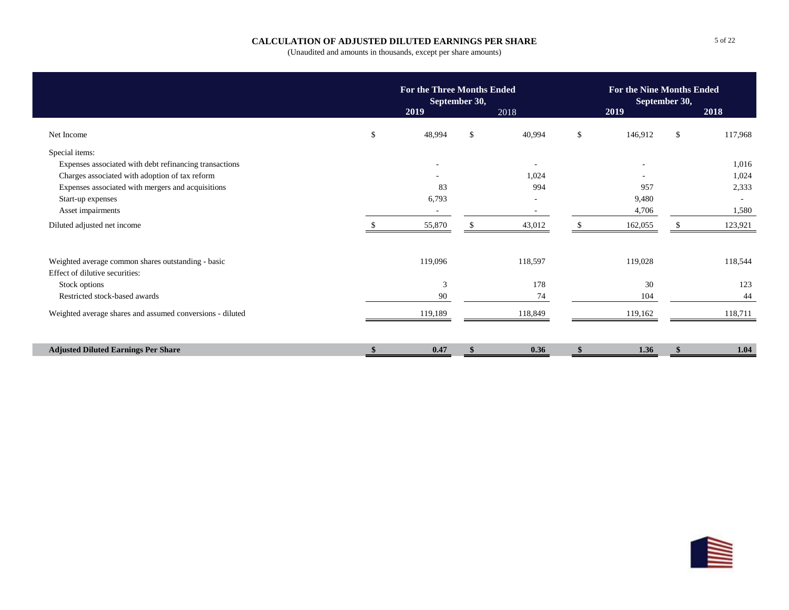### **CALCULATION OF ADJUSTED DILUTED EARNINGS PER SHARE**

|                                                                                      | <b>For the Three Months Ended</b><br>September 30, |         |               |                          | <b>For the Nine Months Ended</b><br>September 30, |    |                          |
|--------------------------------------------------------------------------------------|----------------------------------------------------|---------|---------------|--------------------------|---------------------------------------------------|----|--------------------------|
|                                                                                      |                                                    | 2019    |               | 2018                     | 2019                                              |    | 2018                     |
| Net Income                                                                           | \$                                                 | 48,994  | $\mathsf{\$}$ | 40,994                   | \$<br>146,912                                     | \$ | 117,968                  |
| Special items:                                                                       |                                                    |         |               |                          |                                                   |    |                          |
| Expenses associated with debt refinancing transactions                               |                                                    |         |               | $\overline{\phantom{a}}$ | $\qquad \qquad \blacksquare$                      |    | 1,016                    |
| Charges associated with adoption of tax reform                                       |                                                    |         |               | 1,024                    |                                                   |    | 1,024                    |
| Expenses associated with mergers and acquisitions                                    |                                                    | 83      |               | 994                      | 957                                               |    | 2,333                    |
| Start-up expenses                                                                    |                                                    | 6,793   |               | $\overline{\phantom{a}}$ | 9,480                                             |    | $\overline{\phantom{a}}$ |
| Asset impairments                                                                    |                                                    |         |               |                          | 4,706                                             |    | 1,580                    |
| Diluted adjusted net income                                                          |                                                    | 55,870  |               | 43,012                   | 162,055                                           |    | 123,921                  |
| Weighted average common shares outstanding - basic<br>Effect of dilutive securities: |                                                    | 119,096 |               | 118,597                  | 119,028                                           |    | 118,544                  |
| Stock options                                                                        |                                                    | 3       |               | 178                      | 30                                                |    | 123                      |
| Restricted stock-based awards                                                        |                                                    | 90      |               | 74                       | 104                                               |    | 44                       |
| Weighted average shares and assumed conversions - diluted                            |                                                    | 119,189 |               | 118,849                  | 119,162                                           |    | 118,711                  |
| <b>Adjusted Diluted Earnings Per Share</b>                                           |                                                    | 0.47    |               | 0.36                     | 1.36                                              |    | 1.04                     |



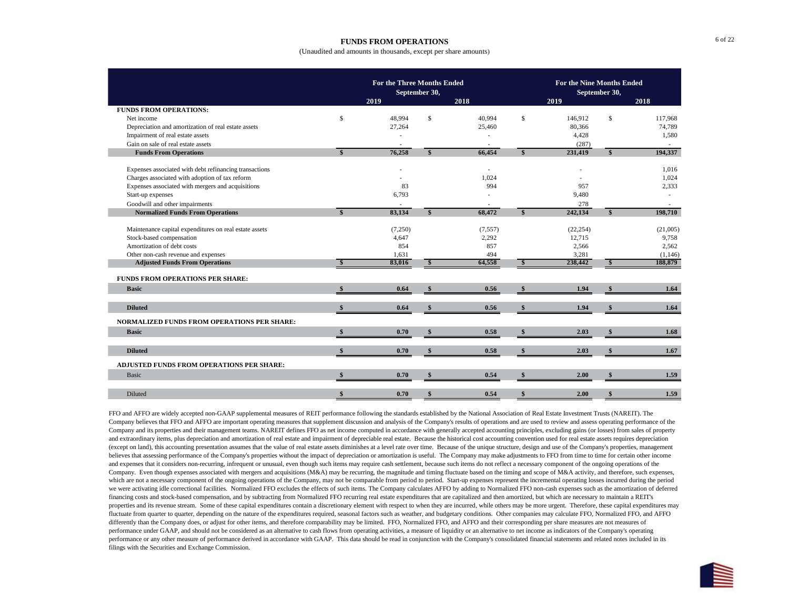#### **FUNDS FROM OPERATIONS**

#### (Unaudited and amounts in thousands, except per share amounts)

|                                                        |                    | For the Three Months Ended | September 30, |               |                           | <b>For the Nine Months Ended</b> | September 30,             |          |
|--------------------------------------------------------|--------------------|----------------------------|---------------|---------------|---------------------------|----------------------------------|---------------------------|----------|
|                                                        |                    | 2019                       |               | 2018          |                           | 2019                             |                           | 2018     |
| <b>FUNDS FROM OPERATIONS:</b>                          |                    |                            |               |               |                           |                                  |                           |          |
| Net income                                             | \$                 | 48,994                     | \$            | 40,994        | $\mathbb{S}$              | 146,912                          | \$                        | 117,968  |
| Depreciation and amortization of real estate assets    |                    | 27,264                     |               | 25,460        |                           | 80,366                           |                           | 74,789   |
| Impairment of real estate assets                       |                    |                            |               |               |                           | 4,428                            |                           | 1,580    |
| Gain on sale of real estate assets                     |                    |                            |               |               |                           | (287)                            |                           |          |
| <b>Funds From Operations</b>                           | $\mathbf{\$}$      | 76,258                     | $\mathbf{\$}$ | 66,454        | $\sqrt{\frac{1}{2}}$      | 231,419                          | $\overline{\mathbf{S}}$   | 194,337  |
| Expenses associated with debt refinancing transactions |                    |                            |               |               |                           |                                  |                           | 1,016    |
| Charges associated with adoption of tax reform         |                    |                            |               | 1,024         |                           |                                  |                           | 1,024    |
| Expenses associated with mergers and acquisitions      |                    | 83                         |               | 994           |                           | 957                              |                           | 2,333    |
| Start-up expenses                                      |                    | 6,793                      |               |               |                           | 9,480                            |                           |          |
| Goodwill and other impairments                         |                    | $\overline{\phantom{a}}$   |               |               |                           | 278                              |                           |          |
| <b>Normalized Funds From Operations</b>                | $\mathbf{\hat{s}}$ | 83,134                     | $\frac{1}{2}$ | 68,472        | $\frac{1}{2}$             | 242,134                          | $\frac{1}{2}$             | 198,710  |
|                                                        |                    |                            |               |               |                           |                                  |                           |          |
| Maintenance capital expenditures on real estate assets |                    | (7,250)                    |               | (7, 557)      |                           | (22, 254)                        |                           | (21,005) |
| Stock-based compensation                               |                    | 4,647                      |               | 2,292         |                           | 12,715                           |                           | 9,758    |
| Amortization of debt costs                             |                    | 854                        |               | 857           |                           | 2,566                            |                           | 2,562    |
| Other non-cash revenue and expenses                    |                    | 1,631                      |               | 494<br>64,558 |                           | 3,281                            |                           | (1,146)  |
| <b>Adjusted Funds From Operations</b>                  | $\mathbf{\$}$      | 83,016                     | $\mathbf{\$}$ |               | $\frac{1}{2}$             | 238,442                          | $\frac{1}{2}$             | 188,879  |
| FUNDS FROM OPERATIONS PER SHARE:                       |                    |                            |               |               |                           |                                  |                           |          |
| <b>Basic</b>                                           |                    | 0.64                       |               | 0.56          | \$                        | 1.94                             | \$                        | 1.64     |
| <b>Diluted</b>                                         | $\frac{1}{2}$      | 0.64                       | $\frac{1}{2}$ | 0.56          | $\boldsymbol{\$}$         | 1.94                             | $\frac{1}{2}$             | 1.64     |
| <b>NORMALIZED FUNDS FROM OPERATIONS PER SHARE:</b>     |                    |                            |               |               |                           |                                  |                           |          |
| <b>Basic</b>                                           | $\mathbf{\$}$      | 0.70                       | $\mathbf{\$}$ | 0.58          | $\frac{1}{2}$             | 2.03                             | $\mathbf{\$}$             | 1.68     |
|                                                        |                    |                            |               |               |                           |                                  |                           |          |
| <b>Diluted</b>                                         |                    | 0.70                       | $\mathbf{\$}$ | 0.58          | $\mathbf{\$}$             | 2.03                             | $\mathbf{\$}$             | $1.67$   |
| ADJUSTED FUNDS FROM OPERATIONS PER SHARE:              |                    |                            |               |               |                           |                                  |                           |          |
| Basic                                                  | $\mathbf{\$}$      | 0.70                       | $\mathbf{\$}$ | 0.54          | $\boldsymbol{\mathsf{s}}$ | 2.00                             | $\boldsymbol{\mathsf{s}}$ | 1.59     |
| Diluted                                                | $\frac{1}{2}$      | 0.70                       | \$            | 0.54          | \$                        | 2.00                             | $\frac{1}{2}$             | 1.59     |

FFO and AFFO are widely accepted non-GAAP supplemental measures of REIT performance following the standards established by the National Association of Real Estate Investment Trusts (NAREIT). The Company believes that FFO and AFFO are important operating measures that supplement discussion and analysis of the Company's results of operations and are used to review and assess operating performance of the Company and its properties and their management teams. NAREIT defines FFO as net income computed in accordance with generally accepted accounting principles, excluding gains (or losses) from sales of property and extraordinary items, plus depreciation and amortization of real estate and impairment of depreciable real estate. Because the historical cost accounting convention used for real estate assets requires depreciation (except on land), this accounting presentation assumes that the value of real estate assets diminishes at a level rate over time. Because of the unique structure, design and use of the Company's properties, management believes that assessing performance of the Company's properties without the impact of depreciation or amortization is useful. The Company may make adjustments to FFO from time to time for certain other income and expenses that it considers non-recurring, infrequent or unusual, even though such items may require cash settlement, because such items do not reflect a necessary component of the ongoing operations of the Company. Even though expenses associated with mergers and acquisitions (M&A) may be recurring, the magnitude and timing fluctuate based on the timing and scope of M&A activity, and therefore, such expenses, which are not a necessary component of the ongoing operations of the Company, may not be comparable from period to period. Start-up expenses represent the incremental operating losses incurred during the period we were activating idle correctional facilities. Normalized FFO excludes the effects of such items. The Company calculates AFFO by adding to Normalized FFO non-cash expenses such as the amortization of deferred financing costs and stock-based compensation, and by subtracting from Normalized FFO recurring real estate expenditures that are capitalized and then amortized, but which are necessary to maintain a REIT's properties and its revenue stream. Some of these capital expenditures contain a discretionary element with respect to when they are incurred, while others may be more urgent. Therefore, these capital expenditures may fluctuate from quarter to quarter, depending on the nature of the expenditures required, seasonal factors such as weather, and budgetary conditions. Other companies may calculate FFO, Normalized FFO, and AFFO differently than the Company does, or adjust for other items, and therefore comparability may be limited. FFO, Normalized FFO, and AFFO and their corresponding per share measures are not measures of performance under GAAP, and should not be considered as an alternative to cash flows from operating activities, a measure of liquidity or an alternative to net income as indicators of the Company's operating performance or any other measure of performance derived in accordance with GAAP. This data should be read in conjunction with the Company's consolidated financial statements and related notes included in its filings with the Securities and Exchange Commission.

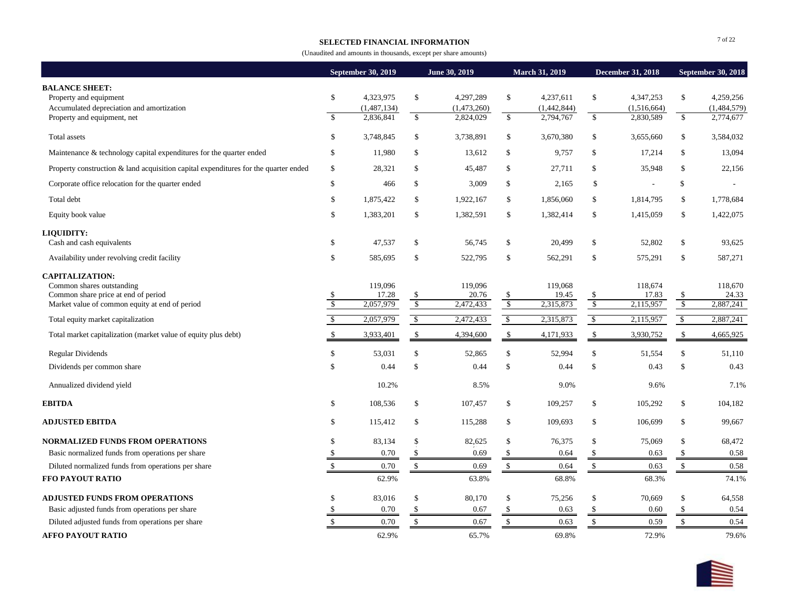### **SELECTED FINANCIAL INFORMATION**

(Unaudited and amounts in thousands, except per share amounts)

|                                                                                                                                              |               | <b>September 30, 2019</b>     |                           | June 30, 2019                 |                      | <b>March 31, 2019</b>         |                             | <b>December 31, 2018</b>      |                 | <b>September 30, 2018</b>     |
|----------------------------------------------------------------------------------------------------------------------------------------------|---------------|-------------------------------|---------------------------|-------------------------------|----------------------|-------------------------------|-----------------------------|-------------------------------|-----------------|-------------------------------|
| <b>BALANCE SHEET:</b><br>Property and equipment<br>Accumulated depreciation and amortization                                                 | \$            | 4,323,975<br>(1,487,134)      | $\mathcal{L}$             | 4,297,289<br>(1,473,260)      | \$                   | 4,237,611<br>(1,442,844)      | \$                          | 4,347,253<br>(1,516,664)      | \$              | 4,259,256<br>(1,484,579)      |
| Property and equipment, net                                                                                                                  | <sup>S</sup>  | 2,836,841                     | $\mathcal{S}$             | 2,824,029                     | $\mathcal{S}$        | 2,794,767                     | $\mathcal{S}$               | 2,830,589                     | $\mathcal{S}$   | 2,774,677                     |
| Total assets                                                                                                                                 | \$            | 3,748,845                     | $\$\,$                    | 3,738,891                     | \$                   | 3,670,380                     | \$                          | 3,655,660                     | $\mathsf{\$}$   | 3,584,032                     |
| Maintenance & technology capital expenditures for the quarter ended                                                                          | \$            | 11,980                        | \$                        | 13,612                        | $\mathbb{S}$         | 9,757                         | \$                          | 17,214                        | $\mathsf{\$}$   | 13,094                        |
| Property construction $\&$ land acquisition capital expenditures for the quarter ended                                                       | \$            | 28,321                        | \$                        | 45,487                        | \$                   | 27,711                        | \$                          | 35,948                        | \$              | 22,156                        |
| Corporate office relocation for the quarter ended                                                                                            | \$            | 466                           | \$                        | 3,009                         | \$                   | 2,165                         | $\mathcal{S}$               |                               | \$              |                               |
| Total debt                                                                                                                                   | \$            | 1,875,422                     | \$                        | 1,922,167                     | \$                   | 1,856,060                     | \$                          | 1,814,795                     | $\frac{1}{2}$   | 1,778,684                     |
| Equity book value                                                                                                                            | \$            | 1,383,201                     | \$                        | 1,382,591                     | \$                   | 1,382,414                     | \$                          | 1,415,059                     | $\mathcal{L}$   | 1,422,075                     |
| <b>LIQUIDITY:</b><br>Cash and cash equivalents                                                                                               | \$            | 47,537                        | \$                        | 56,745                        | \$                   | 20,499                        | \$                          | 52,802                        | \$              | 93,625                        |
| Availability under revolving credit facility                                                                                                 | $\frac{1}{2}$ | 585,695                       | $\boldsymbol{\mathsf{S}}$ | 522,795                       | \$                   | 562,291                       | \$                          | 575,291                       | \$              | 587,271                       |
| <b>CAPITALIZATION:</b><br>Common shares outstanding<br>Common share price at end of period<br>Market value of common equity at end of period | $\mathbb{S}$  | 119,096<br>17.28<br>2,057,979 | \$<br>$\sqrt$             | 119,096<br>20.76<br>2,472,433 | $\frac{\$}{\$}$      | 119,068<br>19.45<br>2,315,873 | $\mathcal{S}$<br>$\sqrt{2}$ | 118,674<br>17.83<br>2,115,957 | $\frac{\$}{\$}$ | 118,670<br>24.33<br>2,887,241 |
|                                                                                                                                              |               |                               |                           |                               |                      | 2,315,873                     |                             |                               |                 | 2,887,241                     |
| Total equity market capitalization                                                                                                           |               | 2,057,979                     | $\frac{1}{2}$             | 2,472,433                     | $\mathbb{S}$         |                               | $\frac{1}{2}$               | 2,115,957                     | $\frac{1}{2}$   |                               |
| Total market capitalization (market value of equity plus debt)                                                                               |               | 3,933,401                     | $\mathbb{S}$              | 4,394,600                     | $\sqrt{\frac{1}{2}}$ | 4,171,933                     | $\mathbb{S}$                | 3,930,752                     | $\mathcal{S}$   | 4,665,925                     |
| <b>Regular Dividends</b>                                                                                                                     | $\mathsf{\$}$ | 53,031                        | $\sqrt[6]{\frac{1}{2}}$   | 52,865                        | \$                   | 52,994                        | \$                          | 51,554                        | $\frac{1}{2}$   | 51,110                        |
| Dividends per common share                                                                                                                   | \$            | 0.44                          | $\mathcal{S}$             | 0.44                          | \$                   | 0.44                          | \$                          | 0.43                          | \$              | 0.43                          |
| Annualized dividend yield                                                                                                                    |               | 10.2%                         |                           | 8.5%                          |                      | 9.0%                          |                             | 9.6%                          |                 | 7.1%                          |
| <b>EBITDA</b>                                                                                                                                | \$            | 108,536                       | \$                        | 107,457                       | \$                   | 109,257                       | \$                          | 105,292                       | \$              | 104,182                       |
| <b>ADJUSTED EBITDA</b>                                                                                                                       | \$            | 115,412                       | $\mathcal{S}$             | 115,288                       | \$                   | 109,693                       | \$                          | 106,699                       | \$              | 99,667                        |
| <b>NORMALIZED FUNDS FROM OPERATIONS</b>                                                                                                      | S             | 83,134                        | \$                        | 82,625                        | $\mathcal{L}$        | 76,375                        | \$                          | 75,069                        | \$              | 68,472                        |
| Basic normalized funds from operations per share                                                                                             |               | 0.70                          |                           | 0.69                          |                      | 0.64                          |                             | 0.63                          |                 | 0.58                          |
| Diluted normalized funds from operations per share                                                                                           |               | 0.70                          | <sup>\$</sup>             | 0.69                          | \$                   | 0.64                          | \$                          | 0.63                          | \$              | 0.58                          |
| FFO PAYOUT RATIO                                                                                                                             |               | 62.9%                         |                           | 63.8%                         |                      | 68.8%                         |                             | 68.3%                         |                 | 74.1%                         |
| <b>ADJUSTED FUNDS FROM OPERATIONS</b>                                                                                                        | <b>S</b>      | 83,016                        | $\boldsymbol{\mathsf{S}}$ | 80,170                        | \$                   | 75,256                        | \$                          | 70,669                        | \$              | 64,558                        |
| Basic adjusted funds from operations per share                                                                                               |               | 0.70                          |                           | 0.67                          |                      | 0.63                          |                             | 0.60                          |                 | 0.54                          |
| Diluted adjusted funds from operations per share                                                                                             |               | 0.70                          | $\mathbb{S}$              | 0.67                          | \$                   | 0.63                          | \$                          | 0.59                          | \$              | 0.54                          |
| <b>AFFO PAYOUT RATIO</b>                                                                                                                     |               | 62.9%                         |                           | 65.7%                         |                      | 69.8%                         |                             | 72.9%                         |                 | 79.6%                         |

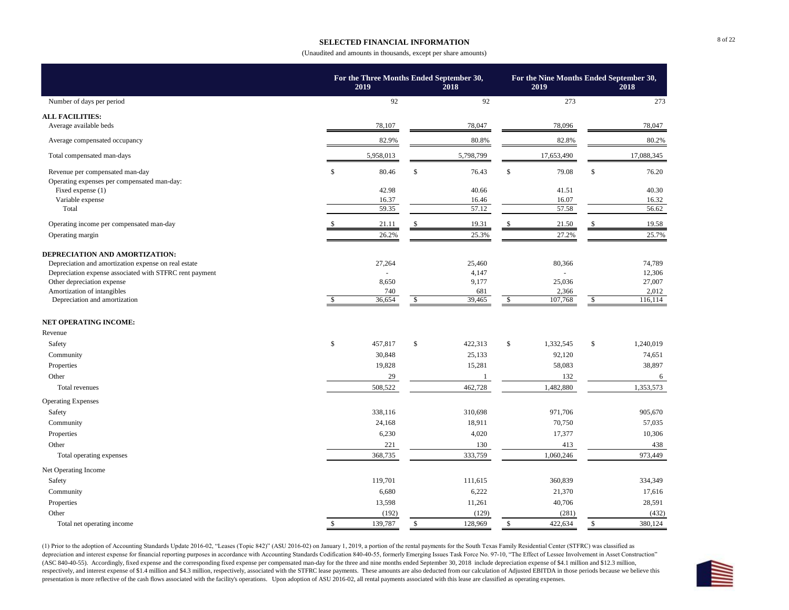#### **SELECTED FINANCIAL INFORMATION**

(Unaudited and amounts in thousands, except per share amounts)

|                                                                                |              | For the Three Months Ended September 30,<br>2019 |               | For the Nine Months Ended September 30,<br>2019<br>2018 |               |                 |                           |                 |
|--------------------------------------------------------------------------------|--------------|--------------------------------------------------|---------------|---------------------------------------------------------|---------------|-----------------|---------------------------|-----------------|
| Number of days per period                                                      |              | 92                                               |               | 92                                                      |               | 273             |                           | 273             |
| <b>ALL FACILITIES:</b>                                                         |              |                                                  |               |                                                         |               |                 |                           |                 |
| Average available beds                                                         |              | 78,107                                           |               | 78,047                                                  |               | 78,096          |                           | 78,047          |
| Average compensated occupancy                                                  |              | 82.9%                                            |               | 80.8%                                                   |               | 82.8%           |                           | 80.2%           |
| Total compensated man-days                                                     |              | 5,958,013                                        |               | 5,798,799                                               |               | 17,653,490      |                           | 17,088,345      |
| Revenue per compensated man-day<br>Operating expenses per compensated man-day: | \$           | 80.46                                            | \$            | 76.43                                                   | \$            | 79.08           | \$                        | 76.20           |
| Fixed expense (1)                                                              |              | 42.98                                            |               | 40.66                                                   |               | 41.51           |                           | 40.30           |
| Variable expense<br>Total                                                      |              | 16.37<br>59.35                                   |               | 16.46<br>57.12                                          |               | 16.07<br>57.58  |                           | 16.32<br>56.62  |
|                                                                                |              |                                                  |               |                                                         |               |                 |                           |                 |
| Operating income per compensated man-day                                       |              | 21.11                                            |               | 19.31                                                   |               | 21.50           |                           | 19.58           |
| Operating margin                                                               |              | 26.2%                                            |               | 25.3%                                                   |               | 27.2%           |                           | 25.7%           |
| DEPRECIATION AND AMORTIZATION:                                                 |              |                                                  |               |                                                         |               |                 |                           |                 |
| Depreciation and amortization expense on real estate                           |              | 27,264                                           |               | 25,460                                                  |               | 80,366          |                           | 74,789          |
| Depreciation expense associated with STFRC rent payment                        |              |                                                  |               | 4,147                                                   |               |                 |                           | 12,306          |
| Other depreciation expense<br>Amortization of intangibles                      |              | 8,650<br>740                                     |               | 9,177<br>681                                            |               | 25,036<br>2,366 |                           | 27,007<br>2,012 |
| Depreciation and amortization                                                  |              | 36,654                                           | -\$           | 39,465                                                  | - \$          | 107,768         | \$                        | 116,114         |
| NET OPERATING INCOME:                                                          |              |                                                  |               |                                                         |               |                 |                           |                 |
| Revenue                                                                        |              |                                                  |               |                                                         |               |                 |                           |                 |
| Safety                                                                         | $\$\,$       | 457,817                                          | $\$$          | 422,313                                                 | $\mathbb{S}$  | 1,332,545       | \$                        | 1,240,019       |
| Community                                                                      |              | 30,848                                           |               | 25,133                                                  |               | 92,120          |                           | 74,651          |
| Properties                                                                     |              | 19,828                                           |               | 15,281                                                  |               | 58,083          |                           | 38,897          |
| Other                                                                          |              | 29                                               |               |                                                         |               | 132             |                           | 6               |
| Total revenues                                                                 |              | 508,522                                          |               | 462,728                                                 |               | 1,482,880       |                           | 1,353,573       |
| <b>Operating Expenses</b>                                                      |              |                                                  |               |                                                         |               |                 |                           |                 |
| Safety                                                                         |              | 338,116                                          |               | 310,698                                                 |               | 971,706         |                           | 905,670         |
| Community                                                                      |              | 24,168                                           |               | 18,911                                                  |               | 70,750          |                           | 57,035          |
| Properties                                                                     |              | 6,230                                            |               | 4,020                                                   |               | 17,377          |                           | 10,306          |
| Other                                                                          |              | $221\,$                                          |               | 130                                                     |               | 413             |                           | 438             |
| Total operating expenses                                                       |              | 368,735                                          |               | 333,759                                                 |               | 1,060,246       |                           | 973,449         |
| Net Operating Income                                                           |              |                                                  |               |                                                         |               |                 |                           |                 |
| Safety                                                                         |              | 119,701                                          |               | 111,615                                                 |               | 360,839         |                           | 334,349         |
| Community                                                                      |              | 6,680                                            |               | 6,222                                                   |               | 21,370          |                           | 17,616          |
| Properties                                                                     |              | 13,598                                           |               | 11,261                                                  |               | 40,706          |                           | 28,591          |
| Other                                                                          |              | (192)                                            |               | (129)                                                   |               | (281)           |                           | (432)           |
| Total net operating income                                                     | $\mathbb{S}$ | 139,787                                          | $\mathcal{S}$ | 128,969                                                 | $\mathcal{S}$ | 422,634         | $\boldsymbol{\mathsf{S}}$ | 380,124         |

(1) Prior to the adoption of Accounting Standards Update 2016-02, "Leases (Topic 842)" (ASU 2016-02) on January 1, 2019, a portion of the rental payments for the South Texas Family Residential Center (STFRC) was classified depreciation and interest expense for financial reporting purposes in accordance with Accounting Standards Codification 840-40-55, formerly Emerging Issues Task Force No. 97-10, "The Effect of Lessee Involvement in Asset C (ASC 840-40-55). Accordingly, fixed expense and the corresponding fixed expense per compensated man-day for the three and nine months ended September 30, 2018 include depreciation expense of \$4.1 million and \$12.3 million, respectively, and interest expense of \$1.4 million and \$4.3 million, respectively, associated with the STFRC lease payments. These amounts are also deducted from our calculation of Adjusted EBITDA in those periods because presentation is more reflective of the cash flows associated with the facility's operations. Upon adoption of ASU 2016-02, all rental payments associated with this lease are classified as operating expenses.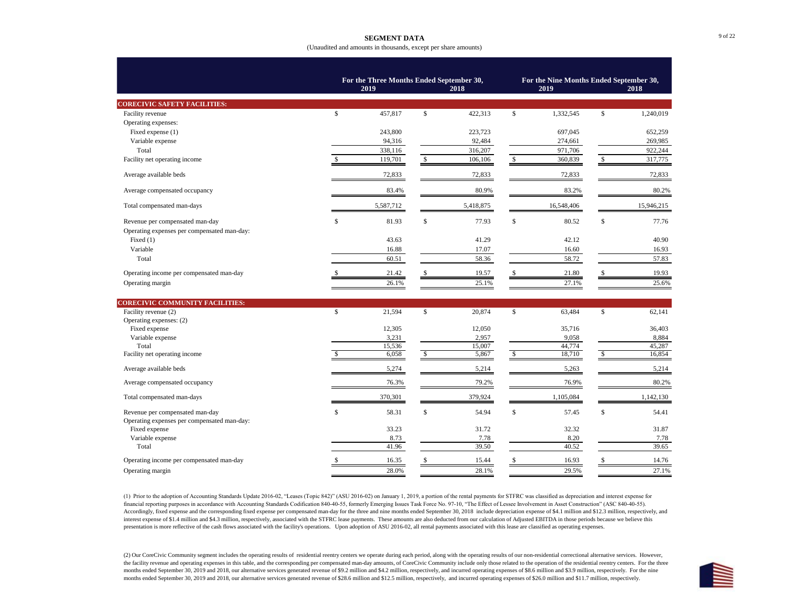#### **SEGMENT DATA**

#### (Unaudited and amounts in thousands, except per share amounts)

|                                                                                |                           | For the Three Months Ended September 30,<br>2019 |              | 2018      |              | For the Nine Months Ended September 30,<br>2019 |               | 2018       |
|--------------------------------------------------------------------------------|---------------------------|--------------------------------------------------|--------------|-----------|--------------|-------------------------------------------------|---------------|------------|
| <b>CORECIVIC SAFETY FACILITIES:</b>                                            |                           |                                                  |              |           |              |                                                 |               |            |
| Facility revenue                                                               | $\boldsymbol{\mathsf{S}}$ | 457,817                                          | \$           | 422,313   | $\mathbb{S}$ | 1,332,545                                       | $\mathsf{\$}$ | 1,240,019  |
| Operating expenses:                                                            |                           |                                                  |              |           |              |                                                 |               |            |
| Fixed expense (1)                                                              |                           | 243,800                                          |              | 223,723   |              | 697,045                                         |               | 652,259    |
| Variable expense                                                               |                           | 94,316                                           |              | 92,484    |              | 274,661                                         |               | 269,985    |
| Total                                                                          |                           | 338,116                                          |              | 316,207   |              | 971,706                                         |               | 922,244    |
| Facility net operating income                                                  |                           | 119,701                                          | \$           | 106,106   | \$           | 360,839                                         | $\mathbb{S}$  | 317,775    |
| Average available beds                                                         |                           | 72,833                                           |              | 72,833    |              | 72,833                                          |               | 72,833     |
| Average compensated occupancy                                                  |                           | 83.4%                                            |              | 80.9%     |              | 83.2%                                           |               | 80.2%      |
| Total compensated man-days                                                     |                           | 5,587,712                                        |              | 5,418,875 |              | 16,548,406                                      |               | 15,946,215 |
| Revenue per compensated man-day<br>Operating expenses per compensated man-day: | S                         | 81.93                                            | \$           | 77.93     | $\$$         | 80.52                                           | \$            | 77.76      |
| Fixed $(1)$                                                                    |                           | 43.63                                            |              | 41.29     |              | 42.12                                           |               | 40.90      |
| Variable                                                                       |                           | 16.88                                            |              | 17.07     |              | 16.60                                           |               | 16.93      |
| Total                                                                          |                           | 60.51                                            |              | 58.36     |              | 58.72                                           |               | 57.83      |
| Operating income per compensated man-day                                       |                           | 21.42                                            |              | 19.57     |              | 21.80                                           |               | 19.93      |
| Operating margin                                                               |                           | 26.1%                                            |              | 25.1%     |              | 27.1%                                           |               | 25.6%      |
| <b>CORECIVIC COMMUNITY FACILITIES:</b>                                         |                           |                                                  |              |           |              |                                                 |               |            |
| Facility revenue (2)<br>Operating expenses: (2)                                | \$                        | 21,594                                           | \$           | 20,874    | \$           | 63,484                                          | \$            | 62,141     |
| Fixed expense                                                                  |                           | 12,305                                           |              | 12,050    |              | 35,716                                          |               | 36,403     |
| Variable expense                                                               |                           | 3,231                                            |              | 2,957     |              | 9,058                                           |               | 8,884      |
| Total                                                                          |                           | 15,536                                           |              | 15,007    |              | 44,774                                          |               | 45,287     |
| Facility net operating income                                                  |                           | 6,058                                            | <sup>S</sup> | 5,867     | -SS          | 18,710                                          |               | 16,854     |
| Average available beds                                                         |                           | 5,274                                            |              | 5,214     |              | 5,263                                           |               | 5,214      |
| Average compensated occupancy                                                  |                           | 76.3%                                            |              | 79.2%     |              | 76.9%                                           |               | 80.2%      |
| Total compensated man-days                                                     |                           | 370,301                                          |              | 379,924   |              | 1,105,084                                       |               | 1,142,130  |
| Revenue per compensated man-day<br>Operating expenses per compensated man-day: | \$                        | 58.31                                            | \$           | 54.94     | \$           | 57.45                                           | \$            | 54.41      |
| Fixed expense                                                                  |                           | 33.23                                            |              | 31.72     |              | 32.32                                           |               | 31.87      |
| Variable expense                                                               |                           | 8.73                                             |              | 7.78      |              | 8.20                                            |               | 7.78       |
| Total                                                                          |                           | 41.96                                            |              | 39.50     |              | 40.52                                           |               | 39.65      |
| Operating income per compensated man-day                                       |                           | 16.35                                            |              | 15.44     |              | 16.93                                           |               | 14.76      |
| Operating margin                                                               |                           | $28.0\%$                                         |              | 28.1%     |              | 29.5%                                           |               | 27.1%      |

(1) Prior to the adoption of Accounting Standards Update 2016-02, "Leases (Topic 842)" (ASU 2016-02) on January 1, 2019, a portion of the rental payments for STFRC was classified as depreciation and interest expense for financial reporting purposes in accordance with Accounting Standards Codification 840-40-55, formerly Emerging Issues Task Force No. 97-10, "The Effect of Lessee Involvement in Asset Construction" (ASC 840-40-55). Accordingly, fixed expense and the corresponding fixed expense per compensated man-day for the three and nine months ended September 30, 2018 include depreciation expense of \$4.1 million and \$12.3 million, respectively, and interest expense of \$1.4 million and \$4.3 million, respectively, associated with the STFRC lease payments. These amounts are also deducted from our calculation of Adjusted EBITDA in those periods because we believe this presentation is more reflective of the cash flows associated with the facility's operations. Upon adoption of ASU 2016-02, all rental payments associated with this lease are classified as operating expenses.

(2) Our CoreCivic Community segment includes the operating results of residential reentry centers we operate during each period, along with the operating results of our non-residential correctional alternative services. Ho the facility revenue and operating expenses in this table, and the corresponding per compensated man-day amounts, of CoreCivic Community include only those related to the operation of the residential reentry centers. For t months ended September 30, 2019 and 2018, our alternative services generated revenue of \$9.2 million and \$4.2 million, respectively, and incurred operating expenses of \$8.6 million and \$3.9 million, respectively. For the n months ended September 30, 2019 and 2018, our alternative services generated revenue of \$28.6 million and \$12.5 million, respectively, and incurred operating expenses of \$26.0 million and \$11.7 million, respectively.

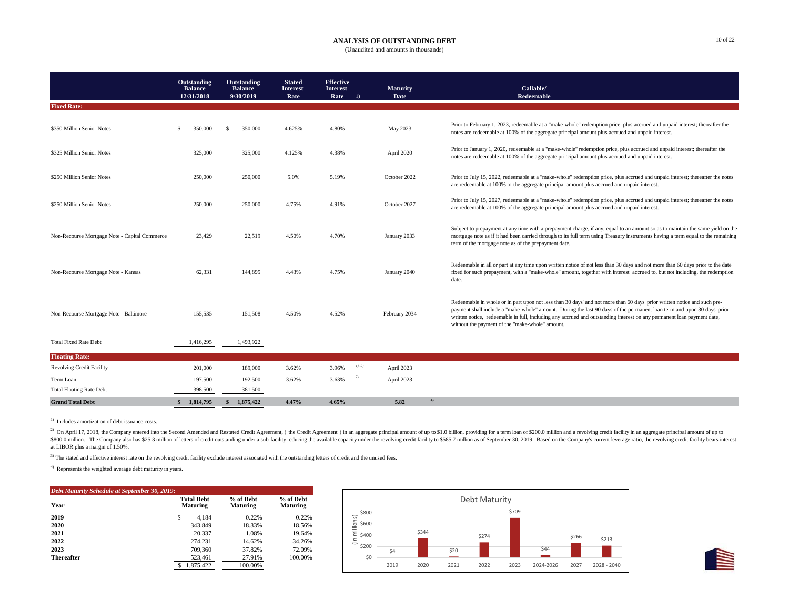### **ANALYSIS OF OUTSTANDING DEBT**

(Unaudited and amounts in thousands)

nole" redemption price, plus accrued and unpaid interest; thereafter the ipal amount plus accrued and unpaid interest.

ole" redemption price, plus accrued and unpaid interest; thereafter the ipal amount plus accrued and unpaid interest.

' redemption price, plus accrued and unpaid interest; thereafter the notes nount plus accrued and unpaid interest.

redemption price, plus accrued and unpaid interest; thereafter the notes nount plus accrued and unpaid interest.

t charge, if any, equal to an amount so as to maintain the same yield on the full term using Treasury instruments having a term equal to the remaining

tice of not less than 30 days and not more than 60 days prior to the date bunt, together with interest accrued to, but not including, the redemption

l days' and not more than 60 days' prior written notice and such preing the last 90 days of the permanent loan term and upon 30 days' prior rued and outstanding interest on any permanent loan payment date,



4) Represents the weighted average debt maturity in years.

<sup>2)</sup> On April 17, 2018, the Company entered into the Second Amended and Restated Credit Agreement, ("the Credit Agreement") in an aggregate principal amount of up to \$1.0 billion, providing for a term loan of \$200.0 millio \$800.0 million. The Company also has \$25.3 million of letters of credit outstanding under a sub-facility reducing the available capacity under the revolving credit facility to \$585.7 million as of September 30, 2019. Based at LIBOR plus a margin of 1.50%.

<sup>3)</sup> The stated and effective interest rate on the revolving credit facility exclude interest associated with the outstanding letters of credit and the unused fees.

| Year              | <b>Total Debt</b><br><b>Maturing</b> | % of Debt<br><b>Maturing</b> | % of Debt<br><b>Maturing</b> |
|-------------------|--------------------------------------|------------------------------|------------------------------|
| 2019              | \$<br>4,184                          | $0.22\%$                     | 0.22%                        |
| 2020              | 343,849                              | 18.33%                       | 18.56%                       |
| 2021              | 20,337                               | 1.08%                        | 19.64%                       |
| 2022              | 274,231                              | 14.62%                       | 34.26%                       |
| 2023              | 709,360                              | 37.82%                       | 72.09%                       |
| <b>Thereafter</b> | 523,461                              | 27.91%                       | 100.00%                      |
|                   | 1,875,422<br>S                       | 100.00%                      |                              |

|                                               | <b>Outstanding</b><br><b>Balance</b><br>12/31/2018 | Outstanding<br><b>Balance</b><br>9/30/2019 | <b>Stated</b><br><b>Interest</b><br>Rate | <b>Effective</b><br><b>Interest</b><br>Rate | 1)     | <b>Maturity</b><br><b>Date</b> | Callable/<br>Redeemable                                                                                                                                                                                                |
|-----------------------------------------------|----------------------------------------------------|--------------------------------------------|------------------------------------------|---------------------------------------------|--------|--------------------------------|------------------------------------------------------------------------------------------------------------------------------------------------------------------------------------------------------------------------|
| <b>Fixed Rate:</b>                            |                                                    |                                            |                                          |                                             |        |                                |                                                                                                                                                                                                                        |
| \$350 Million Senior Notes                    | \$<br>350,000                                      | \$<br>350,000                              | 4.625%                                   | 4.80%                                       |        | May 2023                       | Prior to February 1, 2023, redeemable at a "make-wh<br>notes are redeemable at 100% of the aggregate princi                                                                                                            |
| \$325 Million Senior Notes                    | 325,000                                            | 325,000                                    | 4.125%                                   | 4.38%                                       |        | April 2020                     | Prior to January 1, 2020, redeemable at a "make-who<br>notes are redeemable at 100% of the aggregate princi                                                                                                            |
| \$250 Million Senior Notes                    | 250,000                                            | 250,000                                    | 5.0%                                     | 5.19%                                       |        | October 2022                   | Prior to July 15, 2022, redeemable at a "make-whole"<br>are redeemable at 100% of the aggregate principal an                                                                                                           |
| \$250 Million Senior Notes                    | 250,000                                            | 250,000                                    | 4.75%                                    | 4.91%                                       |        | October 2027                   | Prior to July 15, 2027, redeemable at a "make-whole"<br>are redeemable at 100% of the aggregate principal an                                                                                                           |
| Non-Recourse Mortgage Note - Capital Commerce | 23,429                                             | 22,519                                     | 4.50%                                    | 4.70%                                       |        | January 2033                   | Subject to prepayment at any time with a prepayment<br>mortgage note as if it had been carried through to its 1<br>term of the mortgage note as of the prepayment date.                                                |
| Non-Recourse Mortgage Note - Kansas           | 62,331                                             | 144,895                                    | 4.43%                                    | 4.75%                                       |        | January 2040                   | Redeemable in all or part at any time upon written no<br>fixed for such prepayment, with a "make-whole" amo<br>date.                                                                                                   |
| Non-Recourse Mortgage Note - Baltimore        | 155,535                                            | 151,508                                    | 4.50%                                    | 4.52%                                       |        | February 2034                  | Redeemable in whole or in part upon not less than 30<br>payment shall include a "make-whole" amount. Duri<br>written notice, redeemable in full, including any accr<br>without the payment of the "make-whole" amount. |
| <b>Total Fixed Rate Debt</b>                  | 1,416,295                                          | 1,493,922                                  |                                          |                                             |        |                                |                                                                                                                                                                                                                        |
| <b>Floating Rate:</b>                         |                                                    |                                            |                                          |                                             |        |                                |                                                                                                                                                                                                                        |
| <b>Revolving Credit Facility</b>              | 201,000                                            | 189,000                                    | 3.62%                                    | 3.96%                                       | 2), 3) | April 2023                     |                                                                                                                                                                                                                        |
| Term Loan                                     | 197,500                                            | 192,500                                    | 3.62%                                    | 3.63%                                       | 2)     | April 2023                     |                                                                                                                                                                                                                        |
| <b>Total Floating Rate Debt</b>               | 398,500                                            | 381,500                                    |                                          |                                             |        |                                |                                                                                                                                                                                                                        |
| <b>Grand Total Debt</b>                       | \$<br>1,814,795                                    | \$<br>1,875,422                            | 4.47%                                    | 4.65%                                       |        | 5.82                           | 4)                                                                                                                                                                                                                     |

<sup>1)</sup> Includes amortization of debt issuance costs.

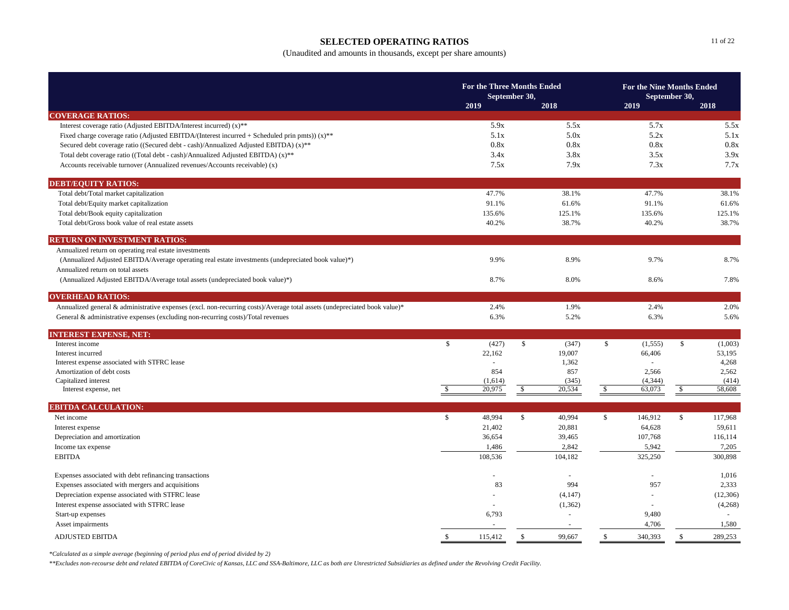### **SELECTED OPERATING RATIOS**

(Unaudited and amounts in thousands, except per share amounts)

|                                                                                                                           |              | <b>For the Three Months Ended</b> | September 30, |                          |               | <b>For the Nine Months Ended</b><br>September 30, |               |                |
|---------------------------------------------------------------------------------------------------------------------------|--------------|-----------------------------------|---------------|--------------------------|---------------|---------------------------------------------------|---------------|----------------|
|                                                                                                                           |              | 2019                              |               | 2018                     |               | 2019                                              |               | 2018           |
| <b>COVERAGE RATIOS:</b>                                                                                                   |              |                                   |               |                          |               |                                                   |               |                |
| Interest coverage ratio (Adjusted EBITDA/Interest incurred) $(x)$ <sup>**</sup>                                           |              | 5.9x                              |               | 5.5x                     |               | 5.7x                                              |               | 5.5x           |
| Fixed charge coverage ratio (Adjusted EBITDA/(Interest incurred + Scheduled prin pmts)) $(x)$ <sup>**</sup>               |              | 5.1x                              |               | 5.0x                     |               | 5.2x                                              |               | 5.1x           |
| Secured debt coverage ratio ((Secured debt - cash)/Annualized Adjusted EBITDA) (x)**                                      |              | 0.8x                              |               | 0.8x                     |               | 0.8x                                              |               | 0.8x           |
| Total debt coverage ratio ((Total debt - cash)/Annualized Adjusted EBITDA) (x)**                                          |              | 3.4x                              |               | 3.8x                     |               | 3.5x                                              |               | 3.9x           |
| Accounts receivable turnover (Annualized revenues/Accounts receivable) (x)                                                |              | 7.5x                              |               | 7.9x                     |               | 7.3x                                              |               | 7.7x           |
| <b>DEBT/EQUITY RATIOS:</b>                                                                                                |              |                                   |               |                          |               |                                                   |               |                |
| Total debt/Total market capitalization                                                                                    |              | 47.7%                             |               | 38.1%                    |               | 47.7%                                             |               | 38.1%          |
| Total debt/Equity market capitalization                                                                                   |              | 91.1%                             |               | 61.6%                    |               | 91.1%                                             |               | 61.6%          |
| Total debt/Book equity capitalization                                                                                     |              | 135.6%                            |               | 125.1%                   |               | 135.6%                                            |               | 125.1%         |
| Total debt/Gross book value of real estate assets                                                                         |              | 40.2%                             |               | 38.7%                    |               | 40.2%                                             |               | 38.7%          |
| RETURN ON INVESTMENT RATIOS:                                                                                              |              |                                   |               |                          |               |                                                   |               |                |
| Annualized return on operating real estate investments                                                                    |              |                                   |               |                          |               |                                                   |               |                |
| (Annualized Adjusted EBITDA/Average operating real estate investments (undepreciated book value)*)                        |              | 9.9%                              |               | 8.9%                     |               | 9.7%                                              |               | 8.7%           |
| Annualized return on total assets                                                                                         |              |                                   |               |                          |               |                                                   |               |                |
| (Annualized Adjusted EBITDA/Average total assets (undepreciated book value)*)                                             |              | 8.7%                              |               | 8.0%                     |               | 8.6%                                              |               | 7.8%           |
| <b>OVERHEAD RATIOS:</b>                                                                                                   |              |                                   |               |                          |               |                                                   |               |                |
| Annualized general & administrative expenses (excl. non-recurring costs)/Average total assets (undepreciated book value)* |              | 2.4%                              |               | 1.9%                     |               | 2.4%                                              |               | 2.0%           |
| General & administrative expenses (excluding non-recurring costs)/Total revenues                                          |              | 6.3%                              |               | 5.2%                     |               | 6.3%                                              |               | 5.6%           |
| <b>INTEREST EXPENSE, NET:</b>                                                                                             |              |                                   |               |                          |               |                                                   |               |                |
| Interest income                                                                                                           | $\mathbb{S}$ | (427)                             | \$            | (347)                    | $\mathbb{S}$  | (1, 555)                                          | \$            | (1,003)        |
| Interest incurred                                                                                                         |              | 22,162                            |               | 19,007                   |               | 66,406                                            |               | 53,195         |
| Interest expense associated with STFRC lease<br>Amortization of debt costs                                                |              | 854                               |               | 1,362<br>857             |               | 2,566                                             |               | 4,268<br>2,562 |
| Capitalized interest                                                                                                      |              | (1,614)                           |               | (345)                    |               | (4, 344)                                          |               | (414)          |
| Interest expense, net                                                                                                     | -S           | 20,975                            | <sup>S</sup>  | 20,534                   | <sup>\$</sup> | 63,073                                            | <sup>S</sup>  | 58,608         |
| <b>EBITDA CALCULATION:</b>                                                                                                |              |                                   |               |                          |               |                                                   |               |                |
| Net income                                                                                                                | \$           | 48,994                            | $\mathbb{S}$  | 40,994                   | \$            | 146,912                                           | $\mathcal{S}$ | 117,968        |
| Interest expense                                                                                                          |              | 21,402                            |               | 20,881                   |               | 64,628                                            |               | 59,611         |
| Depreciation and amortization                                                                                             |              | 36,654                            |               | 39,465                   |               | 107,768                                           |               | 116,114        |
| Income tax expense                                                                                                        |              | 1,486                             |               | 2,842                    |               | 5,942                                             |               | 7,205          |
| <b>EBITDA</b>                                                                                                             |              | 108,536                           |               | 104,182                  |               | 325,250                                           |               | 300,898        |
| Expenses associated with debt refinancing transactions                                                                    |              |                                   |               |                          |               |                                                   |               | 1,016          |
| Expenses associated with mergers and acquisitions                                                                         |              | 83                                |               | 994                      |               | 957                                               |               | 2,333          |
| Depreciation expense associated with STFRC lease                                                                          |              |                                   |               | (4,147)                  |               |                                                   |               | (12,306)       |
| Interest expense associated with STFRC lease                                                                              |              |                                   |               | (1, 362)                 |               | $\overline{\phantom{a}}$                          |               | (4,268)        |
| Start-up expenses                                                                                                         |              | 6,793                             |               |                          |               | 9,480                                             |               |                |
| Asset impairments                                                                                                         |              |                                   |               | $\overline{\phantom{a}}$ |               | 4,706                                             |               | 1,580          |
| ADJUSTED EBITDA                                                                                                           |              | 115,412                           |               | 99,667                   | \$            | 340,393                                           | <sup>S</sup>  |                |
|                                                                                                                           |              |                                   |               |                          |               |                                                   |               | 289,253        |

*\*Calculated as a simple average (beginning of period plus end of period divided by 2)*

*\*\*Excludes non-recourse debt and related EBITDA of CoreCivic of Kansas, LLC and SSA-Baltimore, LLC as both are Unrestricted Subsidiaries as defined under the Revolving Credit Facility.*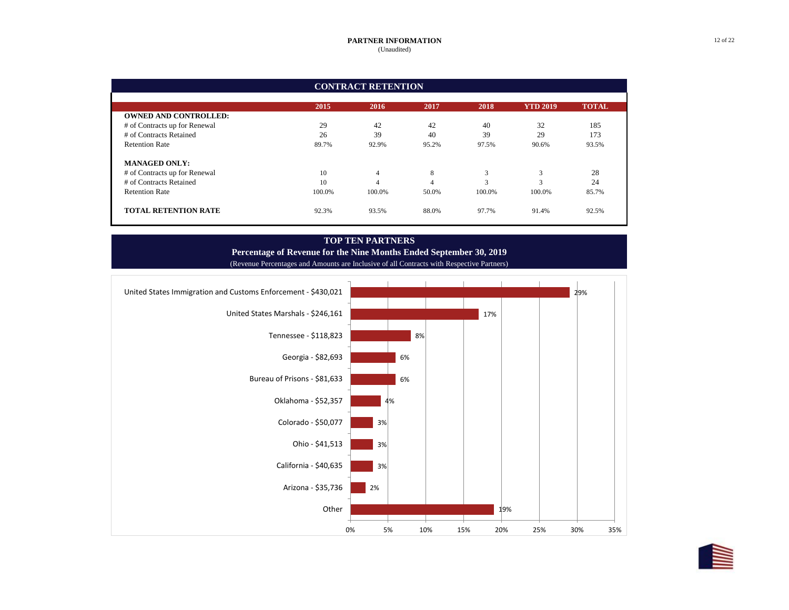|                               |        | <b>CONTRACT RETENTION</b> |       |        |                 |              |
|-------------------------------|--------|---------------------------|-------|--------|-----------------|--------------|
|                               | 2015   | 2016                      | 2017  | 2018   | <b>YTD 2019</b> | <b>TOTAL</b> |
| <b>OWNED AND CONTROLLED:</b>  |        |                           |       |        |                 |              |
| # of Contracts up for Renewal | 29     | 42                        | 42    | 40     | 32              | 185          |
| # of Contracts Retained       | 26     | 39                        | 40    | 39     | 29              | 173          |
| <b>Retention Rate</b>         | 89.7%  | 92.9%                     | 95.2% | 97.5%  | 90.6%           | 93.5%        |
| <b>MANAGED ONLY:</b>          |        |                           |       |        |                 |              |
| # of Contracts up for Renewal | 10     | $\overline{4}$            | 8     | 3      | 3               | 28           |
| # of Contracts Retained       | 10     | $\overline{4}$            | 4     | 3      | 3               | 24           |
| <b>Retention Rate</b>         | 100.0% | 100.0%                    | 50.0% | 100.0% | 100.0%          | 85.7%        |
| <b>TOTAL RETENTION RATE</b>   | 92.3%  | 93.5%                     | 88.0% | 97.7%  | 91.4%           | 92.5%        |

### **TOP TEN PARTNERS**

**Percentage of Revenue for the Nine Months Ended September 30, 2019**

(Revenue Percentages and Amounts are Inclusive of all Contracts with Respective Partners)



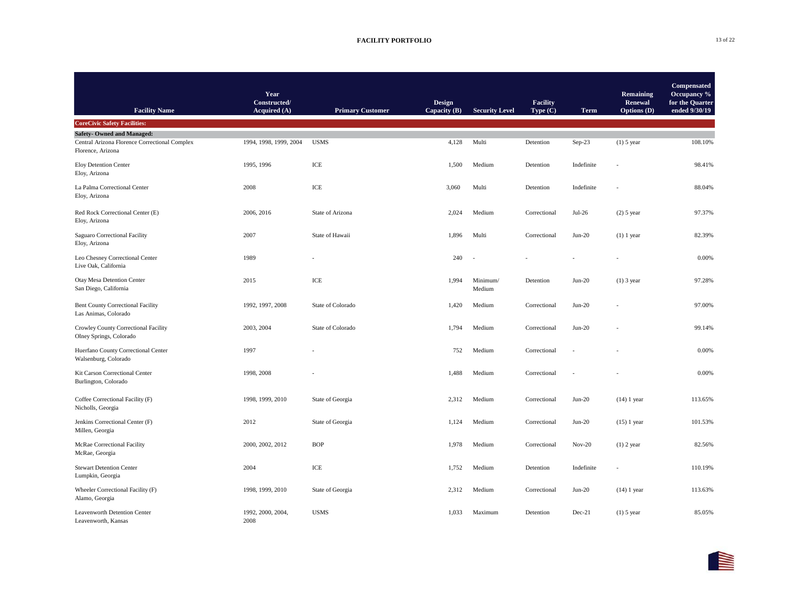# FACILITY PORTFOLIO 13 of 22

| <b>Facility Name</b>                                               | Year<br>Constructed/<br>Acquired $(A)$ | <b>Primary Customer</b>  | <b>Design</b><br>Capacity $(B)$ | <b>Security Level</b> | Facility<br>Type (C) | <b>Term</b>              | <b>Remaining</b><br><b>Renewal</b><br><b>Options</b> (D) | <b>Compensated</b><br>Occupancy %<br>for the Quarter<br>ended 9/30/19 |
|--------------------------------------------------------------------|----------------------------------------|--------------------------|---------------------------------|-----------------------|----------------------|--------------------------|----------------------------------------------------------|-----------------------------------------------------------------------|
| <b>CoreCivic Safety Facilities:</b>                                |                                        |                          |                                 |                       |                      |                          |                                                          |                                                                       |
| <b>Safety- Owned and Managed:</b>                                  |                                        |                          |                                 |                       |                      |                          |                                                          |                                                                       |
| Central Arizona Florence Correctional Complex<br>Florence, Arizona | 1994, 1998, 1999, 2004                 | <b>USMS</b>              | 4,128                           | Multi                 | Detention            | Sep-23                   | $(1)$ 5 year                                             | 108.10%                                                               |
| <b>Eloy Detention Center</b><br>Eloy, Arizona                      | 1995, 1996                             | ICE                      | 1,500                           | Medium                | Detention            | Indefinite               | $\overline{\phantom{a}}$                                 | 98.41%                                                                |
| La Palma Correctional Center<br>Eloy, Arizona                      | 2008                                   | ICE                      | 3,060                           | Multi                 | Detention            | Indefinite               | $\overline{\phantom{a}}$                                 | 88.04%                                                                |
| Red Rock Correctional Center (E)<br>Eloy, Arizona                  | 2006, 2016                             | State of Arizona         | 2,024                           | Medium                | Correctional         | $Jul-26$                 | $(2)$ 5 year                                             | 97.37%                                                                |
| <b>Saguaro Correctional Facility</b><br>Eloy, Arizona              | 2007                                   | State of Hawaii          | 1,896                           | Multi                 | Correctional         | $Jun-20$                 | $(1)$ 1 year                                             | 82.39%                                                                |
| Leo Chesney Correctional Center<br>Live Oak, California            | 1989                                   | $\overline{\phantom{a}}$ | 240                             | $\sim$                |                      |                          |                                                          | 0.00%                                                                 |
| <b>Otay Mesa Detention Center</b><br>San Diego, California         | 2015                                   | ICE                      | 1,994                           | Minimum/<br>Medium    | Detention            | $Jun-20$                 | $(1)$ 3 year                                             | 97.28%                                                                |
| <b>Bent County Correctional Facility</b><br>Las Animas, Colorado   | 1992, 1997, 2008                       | State of Colorado        | 1,420                           | Medium                | Correctional         | $Jun-20$                 | $\overline{\phantom{a}}$                                 | 97.00%                                                                |
| Crowley County Correctional Facility<br>Olney Springs, Colorado    | 2003, 2004                             | State of Colorado        | 1,794                           | Medium                | Correctional         | $Jun-20$                 |                                                          | 99.14%                                                                |
| Huerfano County Correctional Center<br>Walsenburg, Colorado        | 1997                                   |                          | 752                             | Medium                | Correctional         | $\overline{\phantom{a}}$ |                                                          | 0.00%                                                                 |
| Kit Carson Correctional Center<br>Burlington, Colorado             | 1998, 2008                             |                          | 1,488                           | Medium                | Correctional         | $\overline{\phantom{a}}$ |                                                          | 0.00%                                                                 |
| Coffee Correctional Facility (F)<br>Nicholls, Georgia              | 1998, 1999, 2010                       | State of Georgia         | 2,312                           | Medium                | Correctional         | $Jun-20$                 | $(14)$ 1 year                                            | 113.65%                                                               |
| Jenkins Correctional Center (F)<br>Millen, Georgia                 | 2012                                   | State of Georgia         | 1,124                           | Medium                | Correctional         | $Jun-20$                 | $(15)$ 1 year                                            | 101.53%                                                               |
| McRae Correctional Facility<br>McRae, Georgia                      | 2000, 2002, 2012                       | <b>BOP</b>               | 1,978                           | Medium                | Correctional         | $Nov-20$                 | $(1)$ 2 year                                             | 82.56%                                                                |
| <b>Stewart Detention Center</b><br>Lumpkin, Georgia                | 2004                                   | ICE                      | 1,752                           | Medium                | Detention            | Indefinite               |                                                          | 110.19%                                                               |
| Wheeler Correctional Facility (F)<br>Alamo, Georgia                | 1998, 1999, 2010                       | State of Georgia         | 2,312                           | Medium                | Correctional         | $Jun-20$                 | $(14)$ 1 year                                            | 113.63%                                                               |
| Leavenworth Detention Center<br>Leavenworth, Kansas                | 1992, 2000, 2004,<br>2008              | <b>USMS</b>              | 1,033                           | Maximum               | Detention            | Dec-21                   | $(1)$ 5 year                                             | 85.05%                                                                |



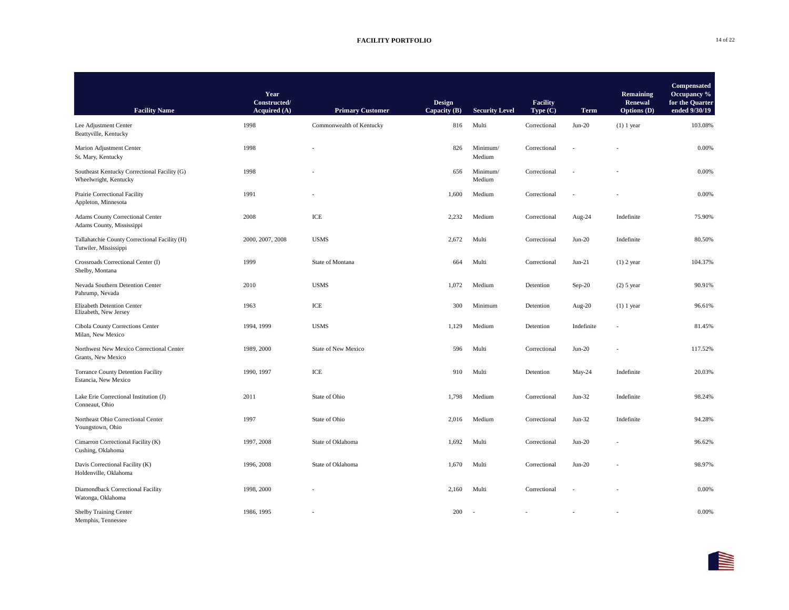# FACILITY PORTFOLIO 14 of 22

| <b>Facility Name</b>                                                   | Year<br>Constructed/<br><b>Acquired</b> (A) | <b>Primary Customer</b>              | <b>Design</b><br>Capacity $(B)$ | <b>Security Level</b> | <b>Facility</b><br>Type (C) | <b>Term</b>              | <b>Remaining</b><br><b>Renewal</b><br><b>Options</b> (D) | <b>Compensated</b><br>Occupancy %<br>for the Quarter<br>ended 9/30/19 |
|------------------------------------------------------------------------|---------------------------------------------|--------------------------------------|---------------------------------|-----------------------|-----------------------------|--------------------------|----------------------------------------------------------|-----------------------------------------------------------------------|
| Lee Adjustment Center<br>Beattyville, Kentucky                         | 1998                                        | Commonwealth of Kentucky             | 816                             | Multi                 | Correctional                | $Jun-20$                 | $(1)$ 1 year                                             | 103.08%                                                               |
| Marion Adjustment Center<br>St. Mary, Kentucky                         | 1998                                        | $\overline{\phantom{a}}$             | 826                             | Minimum/<br>Medium    | Correctional                |                          |                                                          | 0.00%                                                                 |
| Southeast Kentucky Correctional Facility (G)<br>Wheelwright, Kentucky  | 1998                                        | $\overline{\phantom{a}}$             | 656                             | Minimum/<br>Medium    | Correctional                | $\overline{\phantom{a}}$ |                                                          | 0.00%                                                                 |
| Prairie Correctional Facility<br>Appleton, Minnesota                   | 1991                                        | $\overline{\phantom{a}}$             | 1,600                           | Medium                | Correctional                | $\overline{\phantom{a}}$ |                                                          | 0.00%                                                                 |
| <b>Adams County Correctional Center</b><br>Adams County, Mississippi   | 2008                                        | ICE                                  | 2,232                           | Medium                | Correctional                | Aug- $24$                | Indefinite                                               | 75.90%                                                                |
| Tallahatchie County Correctional Facility (H)<br>Tutwiler, Mississippi | 2000, 2007, 2008                            | <b>USMS</b>                          | 2,672                           | Multi                 | Correctional                | $Jun-20$                 | Indefinite                                               | 80.50%                                                                |
| Crossroads Correctional Center (I)<br>Shelby, Montana                  | 1999                                        | State of Montana                     | 664                             | Multi                 | Correctional                | $Jun-21$                 | $(1)$ 2 year                                             | 104.37%                                                               |
| Nevada Southern Detention Center<br>Pahrump, Nevada                    | 2010                                        | <b>USMS</b>                          | 1,072                           | Medium                | Detention                   | Sep-20                   | $(2)$ 5 year                                             | 90.91%                                                                |
| <b>Elizabeth Detention Center</b><br>Elizabeth, New Jersey             | 1963                                        | ICE                                  | 300                             | Minimum               | Detention                   | Aug- $20$                | $(1)$ 1 year                                             | 96.61%                                                                |
| Cibola County Corrections Center<br>Milan, New Mexico                  | 1994, 1999                                  | <b>USMS</b>                          | 1,129                           | Medium                | Detention                   | Indefinite               |                                                          | 81.45%                                                                |
| Northwest New Mexico Correctional Center<br>Grants, New Mexico         | 1989, 2000                                  | <b>State of New Mexico</b>           | 596                             | Multi                 | Correctional                | $Jun-20$                 | $\overline{\phantom{a}}$                                 | 117.52%                                                               |
| <b>Torrance County Detention Facility</b><br>Estancia, New Mexico      | 1990, 1997                                  | $\ensuremath{\textup{\textbf{ICE}}}$ | 910                             | Multi                 | Detention                   | May-24                   | Indefinite                                               | 20.03%                                                                |
| Lake Erie Correctional Institution (J)<br>Conneaut, Ohio               | 2011                                        | State of Ohio                        | 1,798                           | Medium                | Correctional                | $Jun-32$                 | Indefinite                                               | 98.24%                                                                |
| Northeast Ohio Correctional Center<br>Youngstown, Ohio                 | 1997                                        | State of Ohio                        | 2,016                           | Medium                | Correctional                | $Jun-32$                 | Indefinite                                               | 94.28%                                                                |
| Cimarron Correctional Facility (K)<br>Cushing, Oklahoma                | 1997, 2008                                  | State of Oklahoma                    | 1,692                           | Multi                 | Correctional                | $Jun-20$                 |                                                          | 96.62%                                                                |
| Davis Correctional Facility (K)<br>Holdenville, Oklahoma               | 1996, 2008                                  | State of Oklahoma                    | 1,670                           | Multi                 | Correctional                | $Jun-20$                 | $\overline{\phantom{a}}$                                 | 98.97%                                                                |
| Diamondback Correctional Facility<br>Watonga, Oklahoma                 | 1998, 2000                                  | $\overline{\phantom{a}}$             | 2,160                           | Multi                 | Correctional                | $\overline{\phantom{a}}$ |                                                          | 0.00%                                                                 |
| <b>Shelby Training Center</b><br>Memphis, Tennessee                    | 1986, 1995                                  | $\overline{\phantom{a}}$             | 200                             | $\sim$ $-$            |                             |                          |                                                          | 0.00%                                                                 |



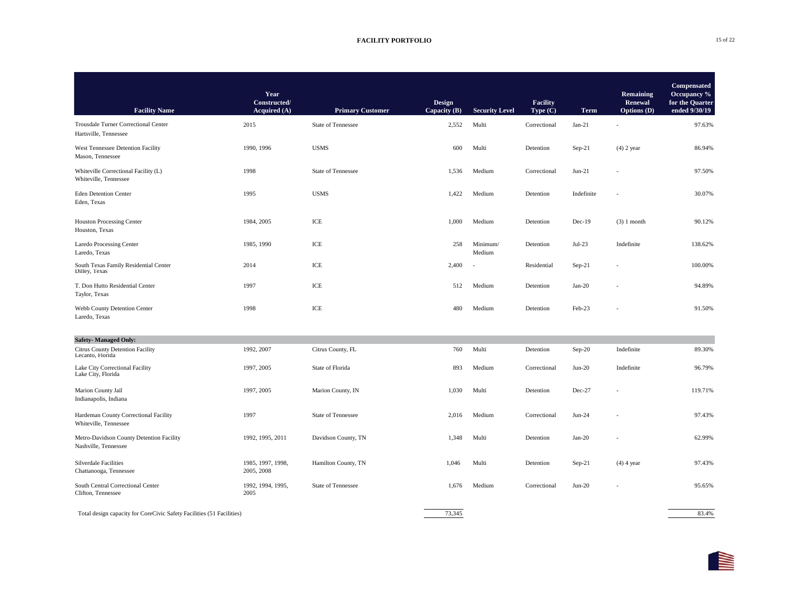# FACILITY PORTFOLIO 15 of 22

| <b>Facility Name</b>                                                 | Year<br>Constructed/<br><b>Acquired</b> (A) | <b>Primary Customer</b>              | <b>Design</b><br>Capacity $(B)$ | <b>Security Level</b>    | Facility<br><b>Type</b> $(C)$ | <b>Term</b> | <b>Remaining</b><br><b>Renewal</b><br><b>Options</b> (D) | <b>Compensated</b><br><b>Occupancy</b> %<br>for the Quarter<br>ended 9/30/19 |
|----------------------------------------------------------------------|---------------------------------------------|--------------------------------------|---------------------------------|--------------------------|-------------------------------|-------------|----------------------------------------------------------|------------------------------------------------------------------------------|
| <b>Trousdale Turner Correctional Center</b><br>Hartsville, Tennessee | 2015                                        | <b>State of Tennessee</b>            | 2,552                           | Multi                    | Correctional                  | $Jan-21$    | $\overline{\phantom{0}}$                                 | 97.63%                                                                       |
| West Tennessee Detention Facility<br>Mason, Tennessee                | 1990, 1996                                  | <b>USMS</b>                          | 600                             | Multi                    | Detention                     | $Sep-21$    | $(4)$ 2 year                                             | 86.94%                                                                       |
| Whiteville Correctional Facility (L)<br>Whiteville, Tennessee        | 1998                                        | <b>State of Tennessee</b>            | 1,536                           | Medium                   | Correctional                  | $Jun-21$    |                                                          | 97.50%                                                                       |
| <b>Eden Detention Center</b><br>Eden, Texas                          | 1995                                        | <b>USMS</b>                          | 1,422                           | Medium                   | Detention                     | Indefinite  | $\overline{\phantom{0}}$                                 | 30.07%                                                                       |
| <b>Houston Processing Center</b><br>Houston, Texas                   | 1984, 2005                                  | ICE                                  | 1,000                           | Medium                   | Detention                     | $Dec-19$    | $(3) 1$ month                                            | 90.12%                                                                       |
| Laredo Processing Center<br>Laredo, Texas                            | 1985, 1990                                  | ICE                                  | 258                             | Minimum/<br>Medium       | Detention                     | $Jul-23$    | Indefinite                                               | 138.62%                                                                      |
| South Texas Family Residential Center<br>Dilley, Texas               | 2014                                        | ICE                                  | 2,400                           | $\overline{\phantom{a}}$ | Residential                   | Sep-21      | $\overline{\phantom{a}}$                                 | 100.00%                                                                      |
| T. Don Hutto Residential Center<br>Taylor, Texas                     | 1997                                        | ICE                                  | 512                             | Medium                   | Detention                     | $Jan-20$    |                                                          | 94.89%                                                                       |
| Webb County Detention Center<br>Laredo, Texas                        | 1998                                        | $\ensuremath{\textup{\textbf{ICE}}}$ | 480                             | Medium                   | Detention                     | Feb-23      |                                                          | 91.50%                                                                       |
| <b>Safety-Managed Only:</b>                                          |                                             |                                      |                                 |                          |                               |             |                                                          |                                                                              |
| <b>Citrus County Detention Facility</b><br>Lecanto, Florida          | 1992, 2007                                  | Citrus County, FL                    | 760                             | Multi                    | Detention                     | Sep-20      | Indefinite                                               | 89.30%                                                                       |
| Lake City Correctional Facility<br>Lake City, Florida                | 1997, 2005                                  | State of Florida                     | 893                             | Medium                   | Correctional                  | $Jun-20$    | Indefinite                                               | 96.79%                                                                       |
| Marion County Jail<br>Indianapolis, Indiana                          | 1997, 2005                                  | Marion County, IN                    | 1,030                           | Multi                    | Detention                     | Dec-27      |                                                          | 119.71%                                                                      |
| Hardeman County Correctional Facility<br>Whiteville, Tennessee       | 1997                                        | <b>State of Tennessee</b>            | 2,016                           | Medium                   | Correctional                  | $Jun-24$    |                                                          | 97.43%                                                                       |
| Metro-Davidson County Detention Facility<br>Nashville, Tennessee     | 1992, 1995, 2011                            | Davidson County, TN                  | 1,348                           | Multi                    | Detention                     | $Jan-20$    |                                                          | 62.99%                                                                       |
| <b>Silverdale Facilities</b><br>Chattanooga, Tennessee               | 1985, 1997, 1998,<br>2005, 2008             | Hamilton County, TN                  | 1,046                           | Multi                    | Detention                     | Sep-21      | $(4)$ 4 year                                             | 97.43%                                                                       |
| South Central Correctional Center<br>Clifton, Tennessee              | 1992, 1994, 1995,<br>2005                   | <b>State of Tennessee</b>            | 1,676                           | Medium                   | Correctional                  | $Jun-20$    |                                                          | 95.65%                                                                       |

Total design capacity for CoreCivic Safety Facilities (51 Facilities) 73,345 83.4%

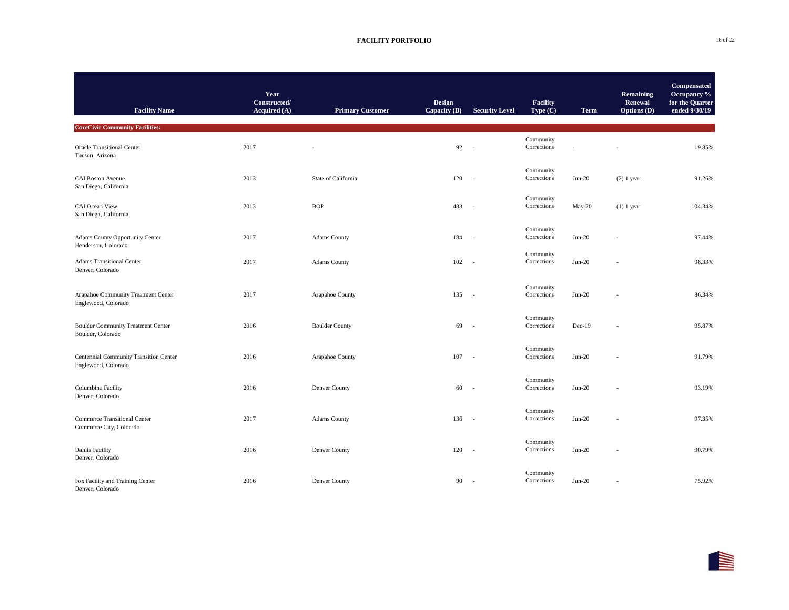# FACILITY PORTFOLIO 16 of 22

| <b>Facility Name</b>                                                 | Year<br>Constructed/<br><b>Acquired (A)</b> | <b>Primary Customer</b>  | <b>Design</b><br>Capacity $(B)$ | <b>Security Level</b> | <b>Facility</b><br><b>Type</b> $(C)$ | <b>Term</b>              | <b>Remaining</b><br>Renewal<br><b>Options (D)</b> | <b>Compensated</b><br>Occupancy %<br>for the Quarter<br>ended 9/30/19 |
|----------------------------------------------------------------------|---------------------------------------------|--------------------------|---------------------------------|-----------------------|--------------------------------------|--------------------------|---------------------------------------------------|-----------------------------------------------------------------------|
| <b>CoreCivic Community Facilities:</b>                               |                                             |                          |                                 |                       |                                      |                          |                                                   |                                                                       |
| <b>Oracle Transitional Center</b><br>Tucson, Arizona                 | 2017                                        | $\overline{\phantom{a}}$ | 92                              | $\sim$ $-$            | Community<br>Corrections             | $\overline{\phantom{a}}$ |                                                   | 19.85%                                                                |
| <b>CAI Boston Avenue</b><br>San Diego, California                    | 2013                                        | State of California      | 120                             | $\sim$                | Community<br>Corrections             | $Jun-20$                 | $(2)$ 1 year                                      | 91.26%                                                                |
| CAI Ocean View<br>San Diego, California                              | 2013                                        | <b>BOP</b>               | 483                             | $\sim$ $-$            | Community<br>Corrections             | $May-20$                 | $(1)$ 1 year                                      | 104.34%                                                               |
| <b>Adams County Opportunity Center</b><br>Henderson, Colorado        | 2017                                        | <b>Adams County</b>      | 184                             | $\sim$ $-$            | Community<br>Corrections             | $Jun-20$                 |                                                   | 97.44%                                                                |
| <b>Adams Transitional Center</b><br>Denver, Colorado                 | 2017                                        | <b>Adams County</b>      | 102                             | $\sim$                | Community<br>Corrections             | $Jun-20$                 | $\overline{\phantom{0}}$                          | 98.33%                                                                |
| Arapahoe Community Treatment Center<br>Englewood, Colorado           | 2017                                        | Arapahoe County          | 135                             | $\sim$ $-$            | Community<br>Corrections             | $Jun-20$                 | $\overline{\phantom{a}}$                          | 86.34%                                                                |
| <b>Boulder Community Treatment Center</b><br>Boulder, Colorado       | 2016                                        | <b>Boulder County</b>    | 69                              | $\sim$                | Community<br>Corrections             | $Dec-19$                 |                                                   | 95.87%                                                                |
| <b>Centennial Community Transition Center</b><br>Englewood, Colorado | 2016                                        | Arapahoe County          | $107 -$                         |                       | Community<br>Corrections             | $Jun-20$                 | $\sim$                                            | 91.79%                                                                |
| <b>Columbine Facility</b><br>Denver, Colorado                        | 2016                                        | Denver County            | $60 -$                          |                       | Community<br>Corrections             | $Jun-20$                 |                                                   | 93.19%                                                                |
| <b>Commerce Transitional Center</b><br>Commerce City, Colorado       | 2017                                        | <b>Adams County</b>      | 136                             | $\sim$ $\sim$         | Community<br>Corrections             | $Jun-20$                 | $\overline{\phantom{0}}$                          | 97.35%                                                                |
| Dahlia Facility<br>Denver, Colorado                                  | 2016                                        | Denver County            | 120                             | $\sim$ $-$            | Community<br>Corrections             | $Jun-20$                 | $\overline{\phantom{0}}$                          | 90.79%                                                                |
| Fox Facility and Training Center<br>Denver, Colorado                 | 2016                                        | Denver County            | 90 -                            |                       | Community<br>Corrections             | $Jun-20$                 |                                                   | 75.92%                                                                |

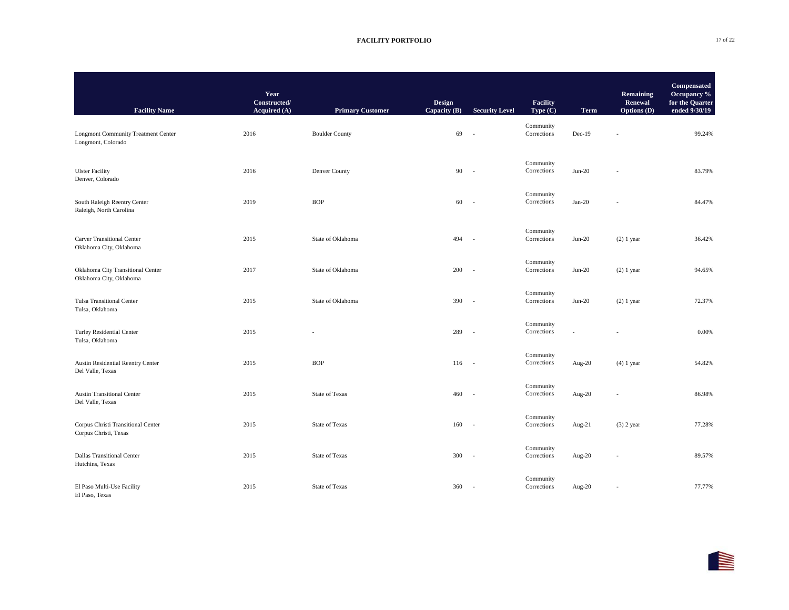# **FACILITY PORTFOLIO** 17 of 22

| <b>Facility Name</b>                                             | Year<br>Constructed/<br>Acquired $(A)$ | <b>Primary Customer</b>  | <b>Design</b><br>Capacity (B) | <b>Security Level</b> | Facility<br><b>Type</b> $(C)$ | <b>Term</b> | <b>Remaining</b><br><b>Renewal</b><br><b>Options (D)</b> | <b>Compensated</b><br>Occupancy %<br>for the Quarter<br>ended 9/30/19 |
|------------------------------------------------------------------|----------------------------------------|--------------------------|-------------------------------|-----------------------|-------------------------------|-------------|----------------------------------------------------------|-----------------------------------------------------------------------|
| <b>Longmont Community Treatment Center</b><br>Longmont, Colorado | 2016                                   | <b>Boulder County</b>    | 69                            | $\sim$ $-$            | Community<br>Corrections      | Dec-19      | $\overline{\phantom{a}}$                                 | 99.24%                                                                |
| <b>Ulster Facility</b><br>Denver, Colorado                       | 2016                                   | Denver County            | 90                            | $\sim$ $-$            | Community<br>Corrections      | $Jun-20$    | $\sim$                                                   | 83.79%                                                                |
| South Raleigh Reentry Center<br>Raleigh, North Carolina          | 2019                                   | <b>BOP</b>               | 60                            | $\sim$                | Community<br>Corrections      | $Jan-20$    | $\overline{\phantom{a}}$                                 | 84.47%                                                                |
| <b>Carver Transitional Center</b><br>Oklahoma City, Oklahoma     | 2015                                   | State of Oklahoma        | 494                           | $\sim$ $-$            | Community<br>Corrections      | $Jun-20$    | $(2)$ 1 year                                             | 36.42%                                                                |
| Oklahoma City Transitional Center<br>Oklahoma City, Oklahoma     | 2017                                   | State of Oklahoma        | 200                           | $\sim$ $-$            | Community<br>Corrections      | $Jun-20$    | $(2)$ 1 year                                             | 94.65%                                                                |
| <b>Tulsa Transitional Center</b><br>Tulsa, Oklahoma              | 2015                                   | State of Oklahoma        | 390                           | $\sim$ $-$            | Community<br>Corrections      | $Jun-20$    | $(2)$ 1 year                                             | 72.37%                                                                |
| <b>Turley Residential Center</b><br>Tulsa, Oklahoma              | 2015                                   | $\overline{\phantom{a}}$ | 289                           | $\sim$                | Community<br>Corrections      |             | $\overline{\phantom{a}}$                                 | $0.00\%$                                                              |
| <b>Austin Residential Reentry Center</b><br>Del Valle, Texas     | 2015                                   | <b>BOP</b>               | $116 -$                       |                       | Community<br>Corrections      | Aug- $20$   | $(4)$ 1 year                                             | 54.82%                                                                |
| <b>Austin Transitional Center</b><br>Del Valle, Texas            | 2015                                   | <b>State of Texas</b>    | 460 -                         |                       | Community<br>Corrections      | Aug- $20$   | $\overline{\phantom{a}}$                                 | 86.98%                                                                |
| Corpus Christi Transitional Center<br>Corpus Christi, Texas      | 2015                                   | <b>State of Texas</b>    | 160                           | $\sim$ $-$            | Community<br>Corrections      | Aug-21      | $(3)$ 2 year                                             | 77.28%                                                                |
| <b>Dallas Transitional Center</b><br>Hutchins, Texas             | 2015                                   | <b>State of Texas</b>    | 300 -                         |                       | Community<br>Corrections      | Aug-20      | $\overline{\phantom{a}}$                                 | 89.57%                                                                |
| El Paso Multi-Use Facility<br>El Paso, Texas                     | 2015                                   | <b>State of Texas</b>    | 360 -                         |                       | Community<br>Corrections      | Aug-20      | $\overline{\phantom{a}}$                                 | 77.77%                                                                |

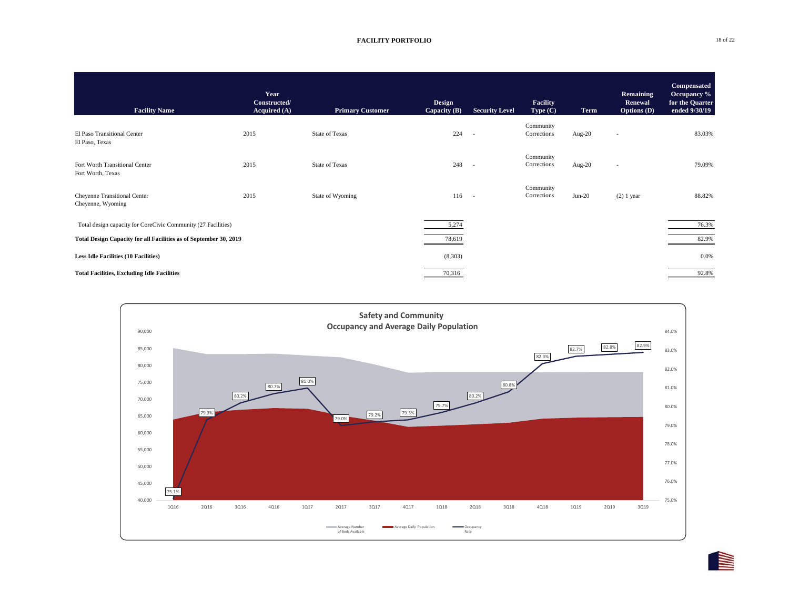# FACILITY PORTFOLIO 18 of 22

| <b>Facility Name</b>                                              | Year<br>Constructed/<br><b>Acquired</b> (A) | <b>Primary Customer</b> | <b>Design</b><br>Capacity (B) | <b>Security Level</b> | Facility<br><b>Type</b> $(C)$ | <b>Term</b> | Remaining<br><b>Renewal</b><br><b>Options (D)</b> | <b>Compensated</b><br>Occupancy %<br>for the Quarter<br>ended 9/30/19 |
|-------------------------------------------------------------------|---------------------------------------------|-------------------------|-------------------------------|-----------------------|-------------------------------|-------------|---------------------------------------------------|-----------------------------------------------------------------------|
| El Paso Transitional Center<br>El Paso, Texas                     | 2015                                        | State of Texas          | 224                           | $\sim$ $-$            | Community<br>Corrections      | Aug- $20$   | $\overline{\phantom{a}}$                          | 83.03%                                                                |
| Fort Worth Transitional Center<br>Fort Worth, Texas               | 2015                                        | <b>State of Texas</b>   | 248                           | $\sim$ $-$            | Community<br>Corrections      | Aug- $20$   | $\overline{\phantom{a}}$                          | 79.09%                                                                |
| <b>Cheyenne Transitional Center</b><br>Cheyenne, Wyoming          | 2015                                        | State of Wyoming        | 116                           | $\sim$ $-$            | Community<br>Corrections      | $Jun-20$    | $(2)$ 1 year                                      | 88.82%                                                                |
| Total design capacity for CoreCivic Community (27 Facilities)     |                                             |                         | 5,274                         |                       |                               |             |                                                   | 76.3%                                                                 |
| Total Design Capacity for all Facilities as of September 30, 2019 |                                             |                         | 78,619                        |                       |                               |             |                                                   | 82.9%                                                                 |
| <b>Less Idle Facilities (10 Facilities)</b>                       |                                             |                         | (8,303)                       |                       |                               |             |                                                   | 0.0%                                                                  |
| <b>Total Facilities, Excluding Idle Facilities</b>                |                                             |                         | 70,316                        |                       |                               |             |                                                   | 92.8%                                                                 |



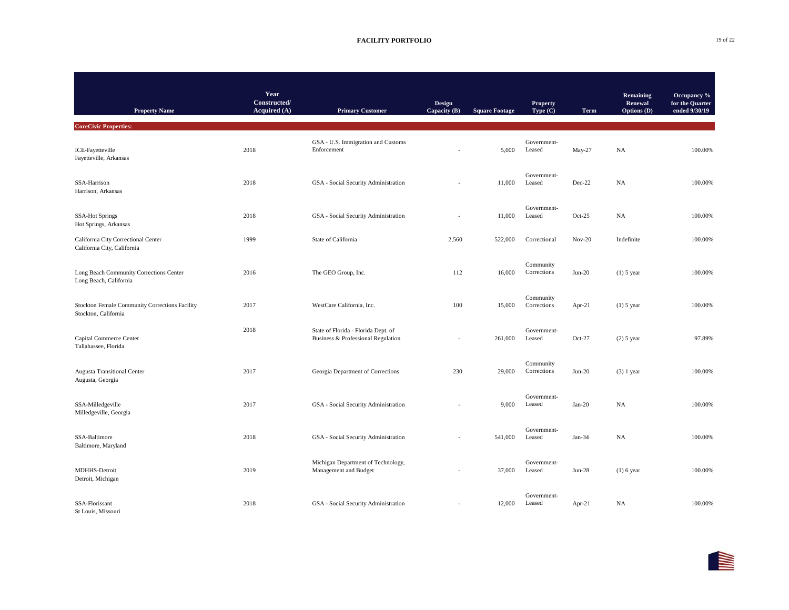# FACILITY PORTFOLIO 19 of 22

| <b>Property Name</b>                                                          | Year<br>Constructed/<br><b>Acquired (A)</b> | <b>Primary Customer</b>                                                   | <b>Design</b><br>Capacity $(B)$ | <b>Square Footage</b> | <b>Property</b><br>Type (C) | <b>Term</b> | <b>Remaining</b><br>Renewal<br><b>Options</b> ( <b>D</b> ) | Occupancy %<br>for the Quarter<br>ended 9/30/19 |
|-------------------------------------------------------------------------------|---------------------------------------------|---------------------------------------------------------------------------|---------------------------------|-----------------------|-----------------------------|-------------|------------------------------------------------------------|-------------------------------------------------|
| <b>CoreCivic Properties:</b>                                                  |                                             |                                                                           |                                 |                       |                             |             |                                                            |                                                 |
| ICE-Fayetteville<br>Fayetteville, Arkansas                                    | 2018                                        | GSA - U.S. Immigration and Customs<br>Enforcement                         | $\overline{\phantom{a}}$        | 5,000                 | Government-<br>Leased       | May-27      | NA                                                         | 100.00%                                         |
| SSA-Harrison<br>Harrison, Arkansas                                            | 2018                                        | GSA - Social Security Administration                                      | $\overline{\phantom{a}}$        | 11,000                | Government-<br>Leased       | Dec-22      | <b>NA</b>                                                  | 100.00%                                         |
| <b>SSA-Hot Springs</b><br>Hot Springs, Arkansas                               | 2018                                        | GSA - Social Security Administration                                      | $\overline{\phantom{a}}$        | 11,000                | Government-<br>Leased       | $Oct-25$    | NA                                                         | 100.00%                                         |
| California City Correctional Center<br>California City, California            | 1999                                        | State of California                                                       | 2,560                           | 522,000               | Correctional                | $Nov-20$    | Indefinite                                                 | 100.00%                                         |
| Long Beach Community Corrections Center<br>Long Beach, California             | 2016                                        | The GEO Group, Inc.                                                       | 112                             | 16,000                | Community<br>Corrections    | $Jun-20$    | $(1)$ 5 year                                               | 100.00%                                         |
| <b>Stockton Female Community Corrections Facility</b><br>Stockton, California | 2017                                        | WestCare California, Inc.                                                 | 100                             | 15,000                | Community<br>Corrections    | $Apr-21$    | $(1)$ 5 year                                               | 100.00%                                         |
| <b>Capital Commerce Center</b><br>Tallahassee, Florida                        | 2018                                        | State of Florida - Florida Dept. of<br>Business & Professional Regulation | $\overline{\phantom{a}}$        | 261,000               | Government-<br>Leased       | Oct-27      | $(2)$ 5 year                                               | 97.89%                                          |
| <b>Augusta Transitional Center</b><br>Augusta, Georgia                        | 2017                                        | Georgia Department of Corrections                                         | 230                             | 29,000                | Community<br>Corrections    | $Jun-20$    | $(3)$ 1 year                                               | 100.00%                                         |
| SSA-Milledgeville<br>Milledgeville, Georgia                                   | 2017                                        | GSA - Social Security Administration                                      |                                 | 9,000                 | Government-<br>Leased       | $Jan-20$    | NA                                                         | 100.00%                                         |
| SSA-Baltimore<br>Baltimore, Maryland                                          | 2018                                        | GSA - Social Security Administration                                      | $\overline{\phantom{a}}$        | 541,000               | Government-<br>Leased       | $Jan-34$    | NA                                                         | 100.00%                                         |
| MDHHS-Detroit<br>Detroit, Michigan                                            | 2019                                        | Michigan Department of Technology,<br>Management and Budget               | $\overline{\phantom{a}}$        | 37,000                | Government-<br>Leased       | $Jun-28$    | $(1)$ 6 year                                               | 100.00%                                         |
| SSA-Florissant<br>St Louis, Missouri                                          | 2018                                        | GSA - Social Security Administration                                      | $\overline{\phantom{a}}$        | 12,000                | Government-<br>Leased       | Apr-21      | NA                                                         | 100.00%                                         |

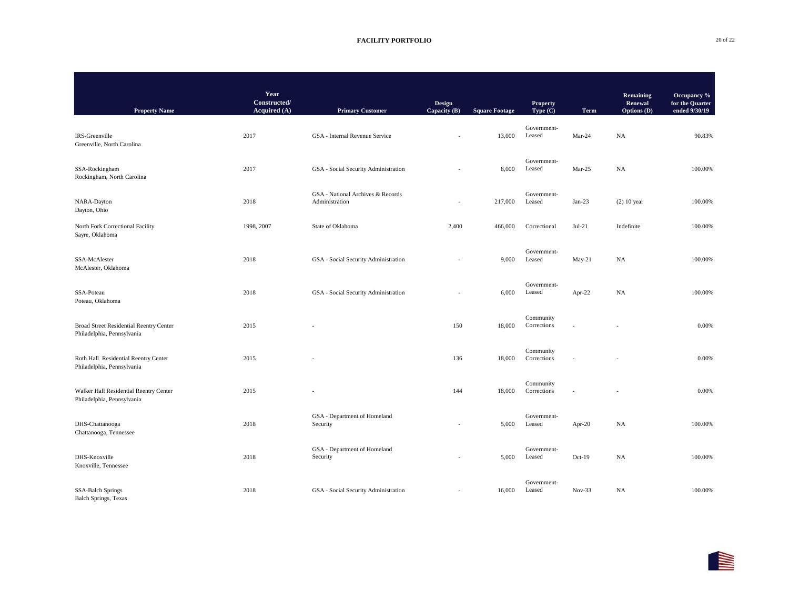# **FACILITY PORTFOLIO** 20 of 22

| <b>Property Name</b>                                                         | Year<br>Constructed/<br><b>Acquired (A)</b> | <b>Primary Customer</b>                             | <b>Design</b><br>Capacity $(B)$ | <b>Square Footage</b> | <b>Property</b><br>Type $(C)$ | <b>Term</b> | <b>Remaining</b><br>Renewal<br><b>Options</b> (D) | Occupancy %<br>for the Quarter<br>ended 9/30/19 |
|------------------------------------------------------------------------------|---------------------------------------------|-----------------------------------------------------|---------------------------------|-----------------------|-------------------------------|-------------|---------------------------------------------------|-------------------------------------------------|
| IRS-Greenville<br>Greenville, North Carolina                                 | 2017                                        | GSA - Internal Revenue Service                      | $\overline{\phantom{a}}$        | 13,000                | Government-<br>Leased         | Mar-24      | NA                                                | 90.83%                                          |
| SSA-Rockingham<br>Rockingham, North Carolina                                 | 2017                                        | GSA - Social Security Administration                | $\overline{\phantom{a}}$        | 8,000                 | Government-<br>Leased         | Mar-25      | NA                                                | 100.00%                                         |
| NARA-Dayton<br>Dayton, Ohio                                                  | 2018                                        | GSA - National Archives & Records<br>Administration | $\sim$                          | 217,000               | Government-<br>Leased         | $Jan-23$    | $(2)$ 10 year                                     | 100.00%                                         |
| North Fork Correctional Facility<br>Sayre, Oklahoma                          | 1998, 2007                                  | State of Oklahoma                                   | 2,400                           | 466,000               | Correctional                  | $Jul-21$    | Indefinite                                        | 100.00%                                         |
| SSA-McAlester<br>McAlester, Oklahoma                                         | 2018                                        | GSA - Social Security Administration                | $\overline{\phantom{a}}$        | 9,000                 | Government-<br>Leased         | May-21      | NA                                                | 100.00%                                         |
| SSA-Poteau<br>Poteau, Oklahoma                                               | 2018                                        | GSA - Social Security Administration                | $\overline{\phantom{a}}$        | 6,000                 | Government-<br>Leased         | Apr-22      | <b>NA</b>                                         | 100.00%                                         |
| <b>Broad Street Residential Reentry Center</b><br>Philadelphia, Pennsylvania | 2015                                        |                                                     | 150                             | 18,000                | Community<br>Corrections      |             | $\overline{\phantom{a}}$                          | 0.00%                                           |
| Roth Hall Residential Reentry Center<br>Philadelphia, Pennsylvania           | 2015                                        | $\overline{\phantom{a}}$                            | 136                             | 18,000                | Community<br>Corrections      |             | $\overline{\phantom{a}}$                          | $0.00\%$                                        |
| Walker Hall Residential Reentry Center<br>Philadelphia, Pennsylvania         | 2015                                        | $\overline{\phantom{a}}$                            | 144                             | 18,000                | Community<br>Corrections      |             | $\overline{\phantom{a}}$                          | 0.00%                                           |
| DHS-Chattanooga<br>Chattanooga, Tennessee                                    | 2018                                        | GSA - Department of Homeland<br>Security            |                                 | 5,000                 | Government-<br>Leased         | Apr-20      | <b>NA</b>                                         | 100.00%                                         |
| DHS-Knoxville<br>Knoxville, Tennessee                                        | 2018                                        | GSA - Department of Homeland<br>Security            | $\overline{\phantom{a}}$        | 5,000                 | Government-<br>Leased         | $Oct-19$    | <b>NA</b>                                         | 100.00%                                         |
| <b>SSA-Balch Springs</b><br><b>Balch Springs, Texas</b>                      | 2018                                        | GSA - Social Security Administration                |                                 | 16,000                | Government-<br>Leased         | $Nov-33$    | NA                                                | 100.00%                                         |

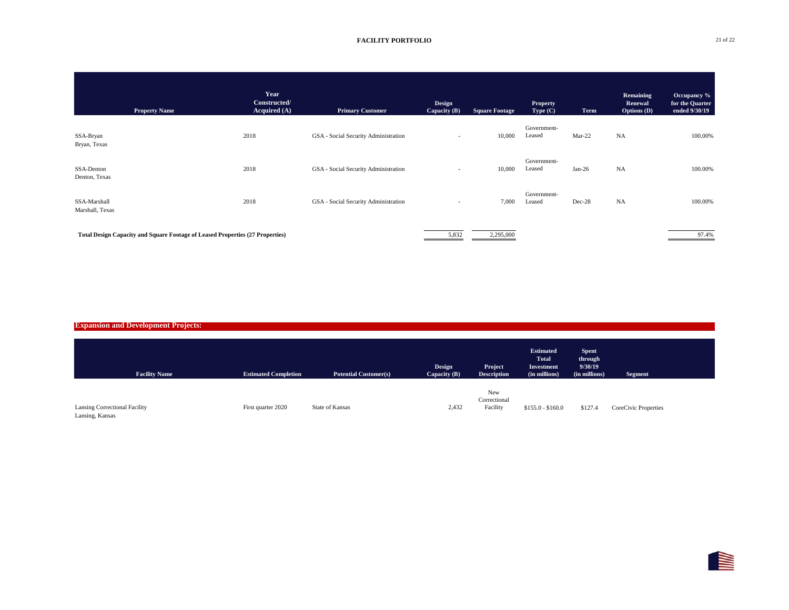# FACILITY PORTFOLIO 21 of 22

|                                 | <b>Property Name</b>                                                                 | Year<br>Constructed/<br><b>Acquired</b> (A) | <b>Primary Customer</b>              | <b>Design</b><br>Capacity (B) | <b>Square Footage</b> | <b>Property</b><br>Type (C) | <b>Term</b> | <b>Remaining</b><br><b>Renewal</b><br><b>Options</b> ( <b>D</b> ) | Occupancy %<br>for the Quarter<br>ended 9/30/19 |
|---------------------------------|--------------------------------------------------------------------------------------|---------------------------------------------|--------------------------------------|-------------------------------|-----------------------|-----------------------------|-------------|-------------------------------------------------------------------|-------------------------------------------------|
| SSA-Bryan<br>Bryan, Texas       |                                                                                      | 2018                                        | GSA - Social Security Administration | $\overline{\phantom{a}}$      | 10,000                | Government-<br>Leased       | $Mar-22$    | <b>NA</b>                                                         | 100.00%                                         |
| SSA-Denton<br>Denton, Texas     |                                                                                      | 2018                                        | GSA - Social Security Administration | $\overline{\phantom{a}}$      | 10,000                | Government-<br>Leased       | Jan-26      | <b>NA</b>                                                         | 100.00%                                         |
| SSA-Marshall<br>Marshall, Texas |                                                                                      | 2018                                        | GSA - Social Security Administration | $\sim$                        | 7,000                 | Government-<br>Leased       | Dec-28      | NA                                                                | 100.00%                                         |
|                                 | <b>Total Design Capacity and Square Footage of Leased Properties (27 Properties)</b> |                                             |                                      | 5,832                         | 2,295,000             |                             |             |                                                                   | 97.4%                                           |

| <b>Estimated Completion</b> | <b>Potential Customer(s)</b> | <b>Design</b><br>Capacity (B) | Project<br><b>Description</b>          | <b>Estimated</b><br>Total<br><b>Investment</b><br>(in millions) | <b>Spent</b><br>through<br>9/30/19<br>(in millions) | <b>Segment</b>              |
|-----------------------------|------------------------------|-------------------------------|----------------------------------------|-----------------------------------------------------------------|-----------------------------------------------------|-----------------------------|
| First quarter 2020          | State of Kansas              | 2,432                         | <b>New</b><br>Correctional<br>Facility | $$155.0 - $160.0$                                               | \$127.4                                             | <b>CoreCivic Properties</b> |
|                             |                              |                               |                                        |                                                                 |                                                     |                             |



# **Expansion and Development Projects:**